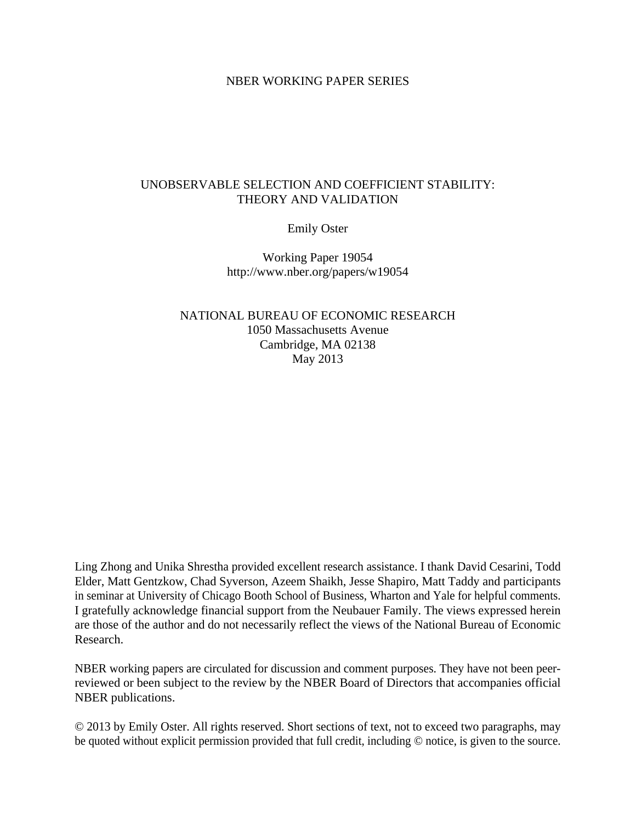# NBER WORKING PAPER SERIES

# UNOBSERVABLE SELECTION AND COEFFICIENT STABILITY: THEORY AND VALIDATION

Emily Oster

Working Paper 19054 http://www.nber.org/papers/w19054

NATIONAL BUREAU OF ECONOMIC RESEARCH 1050 Massachusetts Avenue Cambridge, MA 02138 May 2013

Ling Zhong and Unika Shrestha provided excellent research assistance. I thank David Cesarini, Todd Elder, Matt Gentzkow, Chad Syverson, Azeem Shaikh, Jesse Shapiro, Matt Taddy and participants in seminar at University of Chicago Booth School of Business, Wharton and Yale for helpful comments. I gratefully acknowledge financial support from the Neubauer Family. The views expressed herein are those of the author and do not necessarily reflect the views of the National Bureau of Economic Research.

NBER working papers are circulated for discussion and comment purposes. They have not been peerreviewed or been subject to the review by the NBER Board of Directors that accompanies official NBER publications.

© 2013 by Emily Oster. All rights reserved. Short sections of text, not to exceed two paragraphs, may be quoted without explicit permission provided that full credit, including © notice, is given to the source.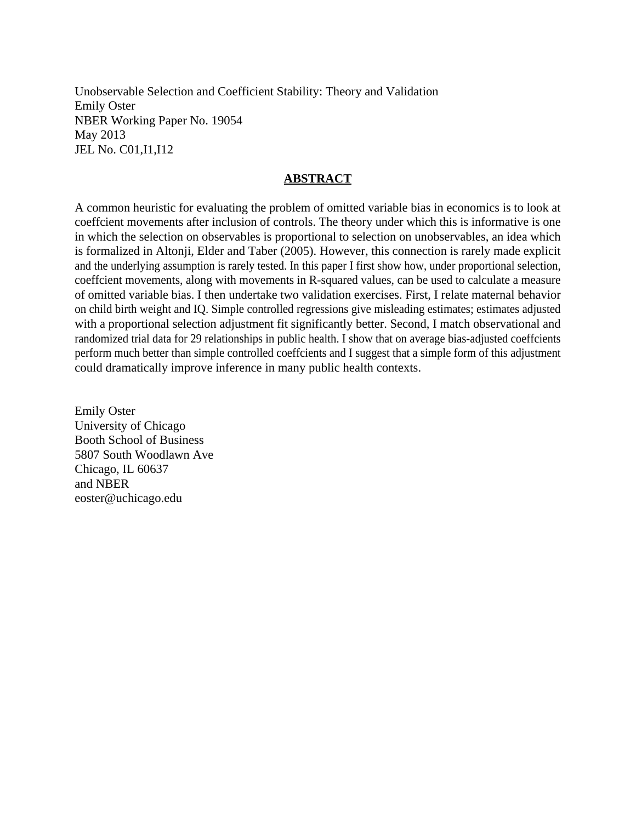Unobservable Selection and Coefficient Stability: Theory and Validation Emily Oster NBER Working Paper No. 19054 May 2013 JEL No. C01,I1,I12

# **ABSTRACT**

A common heuristic for evaluating the problem of omitted variable bias in economics is to look at coeffcient movements after inclusion of controls. The theory under which this is informative is one in which the selection on observables is proportional to selection on unobservables, an idea which is formalized in Altonji, Elder and Taber (2005). However, this connection is rarely made explicit and the underlying assumption is rarely tested. In this paper I first show how, under proportional selection, coeffcient movements, along with movements in R-squared values, can be used to calculate a measure of omitted variable bias. I then undertake two validation exercises. First, I relate maternal behavior on child birth weight and IQ. Simple controlled regressions give misleading estimates; estimates adjusted with a proportional selection adjustment fit significantly better. Second, I match observational and randomized trial data for 29 relationships in public health. I show that on average bias-adjusted coeffcients perform much better than simple controlled coeffcients and I suggest that a simple form of this adjustment could dramatically improve inference in many public health contexts.

Emily Oster University of Chicago Booth School of Business 5807 South Woodlawn Ave Chicago, IL 60637 and NBER eoster@uchicago.edu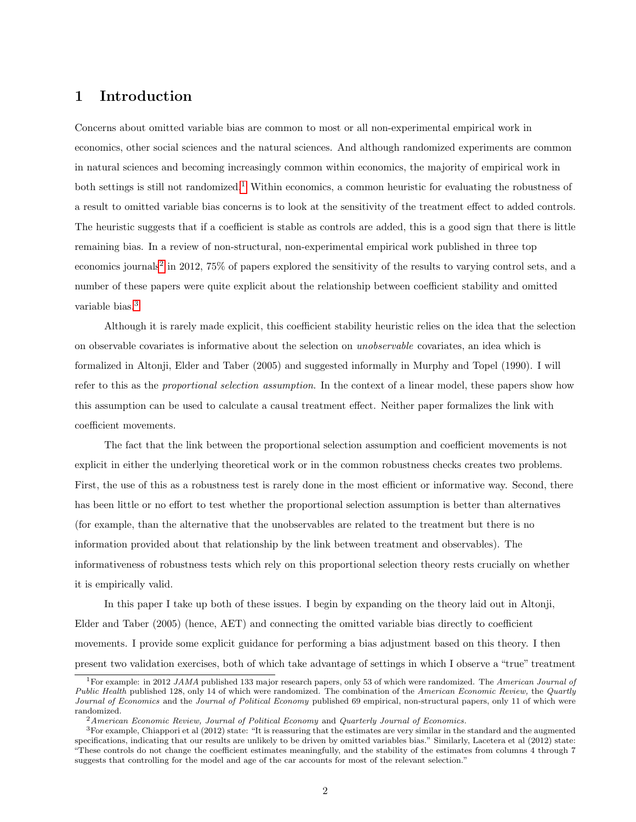# 1 Introduction

Concerns about omitted variable bias are common to most or all non-experimental empirical work in economics, other social sciences and the natural sciences. And although randomized experiments are common in natural sciences and becoming increasingly common within economics, the majority of empirical work in both settings is still not randomized.[1](#page-2-0) Within economics, a common heuristic for evaluating the robustness of a result to omitted variable bias concerns is to look at the sensitivity of the treatment effect to added controls. The heuristic suggests that if a coefficient is stable as controls are added, this is a good sign that there is little remaining bias. In a review of non-structural, non-experimental empirical work published in three top economics journals<sup>[2](#page-2-1)</sup> in 2012, 75% of papers explored the sensitivity of the results to varying control sets, and a number of these papers were quite explicit about the relationship between coefficient stability and omitted variable bias.<sup>[3](#page-2-2)</sup>

Although it is rarely made explicit, this coefficient stability heuristic relies on the idea that the selection on observable covariates is informative about the selection on unobservable covariates, an idea which is formalized in Altonji, Elder and Taber (2005) and suggested informally in Murphy and Topel (1990). I will refer to this as the proportional selection assumption. In the context of a linear model, these papers show how this assumption can be used to calculate a causal treatment effect. Neither paper formalizes the link with coefficient movements.

The fact that the link between the proportional selection assumption and coefficient movements is not explicit in either the underlying theoretical work or in the common robustness checks creates two problems. First, the use of this as a robustness test is rarely done in the most efficient or informative way. Second, there has been little or no effort to test whether the proportional selection assumption is better than alternatives (for example, than the alternative that the unobservables are related to the treatment but there is no information provided about that relationship by the link between treatment and observables). The informativeness of robustness tests which rely on this proportional selection theory rests crucially on whether it is empirically valid.

In this paper I take up both of these issues. I begin by expanding on the theory laid out in Altonji, Elder and Taber (2005) (hence, AET) and connecting the omitted variable bias directly to coefficient movements. I provide some explicit guidance for performing a bias adjustment based on this theory. I then present two validation exercises, both of which take advantage of settings in which I observe a "true" treatment

<span id="page-2-0"></span><sup>&</sup>lt;sup>1</sup>For example: in 2012 JAMA published 133 major research papers, only 53 of which were randomized. The American Journal of Public Health published 128, only 14 of which were randomized. The combination of the American Economic Review, the Quartly Journal of Economics and the Journal of Political Economy published 69 empirical, non-structural papers, only 11 of which were randomized.

<span id="page-2-2"></span><span id="page-2-1"></span> $2$ American Economic Review, Journal of Political Economy and Quarterly Journal of Economics.

<sup>3</sup>For example, Chiappori et al (2012) state: "It is reassuring that the estimates are very similar in the standard and the augmented specifications, indicating that our results are unlikely to be driven by omitted variables bias." Similarly, Lacetera et al (2012) state: "These controls do not change the coefficient estimates meaningfully, and the stability of the estimates from columns 4 through 7 suggests that controlling for the model and age of the car accounts for most of the relevant selection."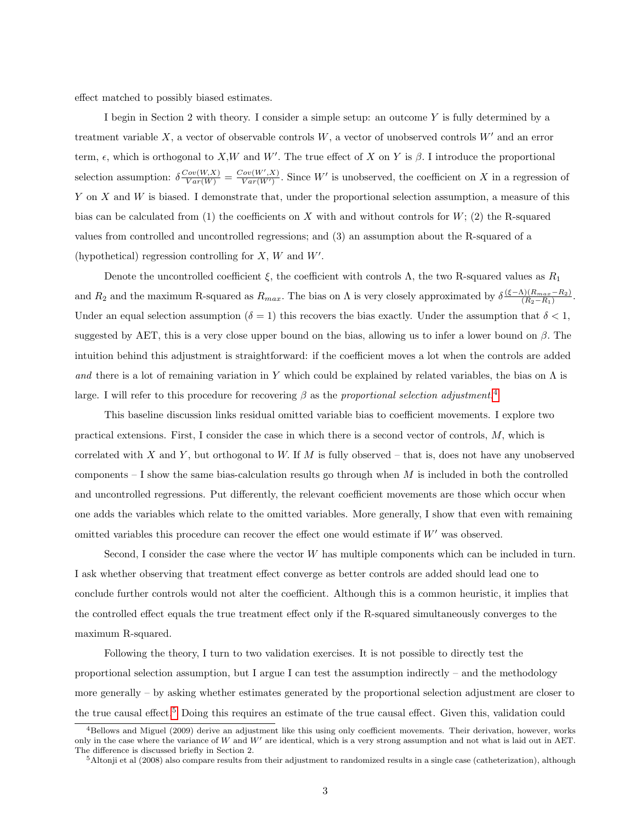effect matched to possibly biased estimates.

I begin in Section 2 with theory. I consider a simple setup: an outcome Y is fully determined by a treatment variable  $X$ , a vector of observable controls  $W$ , a vector of unobserved controls  $W'$  and an error term,  $\epsilon$ , which is orthogonal to X,W and W'. The true effect of X on Y is  $\beta$ . I introduce the proportional selection assumption:  $\delta \frac{Cov(W,X)}{Var(W)} = \frac{Cov(W',X)}{Var(W')}$ . Since W' is unobserved, the coefficient on X in a regression of Y on X and W is biased. I demonstrate that, under the proportional selection assumption, a measure of this bias can be calculated from (1) the coefficients on X with and without controls for  $W$ ; (2) the R-squared values from controlled and uncontrolled regressions; and (3) an assumption about the R-squared of a (hypothetical) regression controlling for  $X$ ,  $W$  and  $W'$ .

Denote the uncontrolled coefficient  $\xi$ , the coefficient with controls  $\Lambda$ , the two R-squared values as  $R_1$ and  $R_2$  and the maximum R-squared as  $R_{max}$ . The bias on  $\Lambda$  is very closely approximated by  $\delta \frac{(\xi-\Lambda)(R_{max}-R_2)}{(R_2-R_1)}$  $\frac{(K_{max}-R_2)}{(R_2-R_1)}$ . Under an equal selection assumption ( $\delta = 1$ ) this recovers the bias exactly. Under the assumption that  $\delta < 1$ , suggested by AET, this is a very close upper bound on the bias, allowing us to infer a lower bound on  $\beta$ . The intuition behind this adjustment is straightforward: if the coefficient moves a lot when the controls are added and there is a lot of remaining variation in Y which could be explained by related variables, the bias on  $\Lambda$  is large. I will refer to this procedure for recovering  $\beta$  as the proportional selection adjustment.<sup>[4](#page-3-0)</sup>

This baseline discussion links residual omitted variable bias to coefficient movements. I explore two practical extensions. First, I consider the case in which there is a second vector of controls, M, which is correlated with X and Y, but orthogonal to W. If M is fully observed – that is, does not have any unobserved components  $-$  I show the same bias-calculation results go through when  $M$  is included in both the controlled and uncontrolled regressions. Put differently, the relevant coefficient movements are those which occur when one adds the variables which relate to the omitted variables. More generally, I show that even with remaining omitted variables this procedure can recover the effect one would estimate if  $W'$  was observed.

Second, I consider the case where the vector  $W$  has multiple components which can be included in turn. I ask whether observing that treatment effect converge as better controls are added should lead one to conclude further controls would not alter the coefficient. Although this is a common heuristic, it implies that the controlled effect equals the true treatment effect only if the R-squared simultaneously converges to the maximum R-squared.

Following the theory, I turn to two validation exercises. It is not possible to directly test the proportional selection assumption, but I argue I can test the assumption indirectly – and the methodology more generally – by asking whether estimates generated by the proportional selection adjustment are closer to the true causal effect.[5](#page-3-1) Doing this requires an estimate of the true causal effect. Given this, validation could

<span id="page-3-0"></span><sup>&</sup>lt;sup>4</sup>Bellows and Miguel (2009) derive an adjustment like this using only coefficient movements. Their derivation, however, works only in the case where the variance of  $W$  and  $W'$  are identical, which is a very strong assumption and not what is laid out in AET. The difference is discussed briefly in Section 2.

<span id="page-3-1"></span> $5$ Altonji et al (2008) also compare results from their adjustment to randomized results in a single case (catheterization), although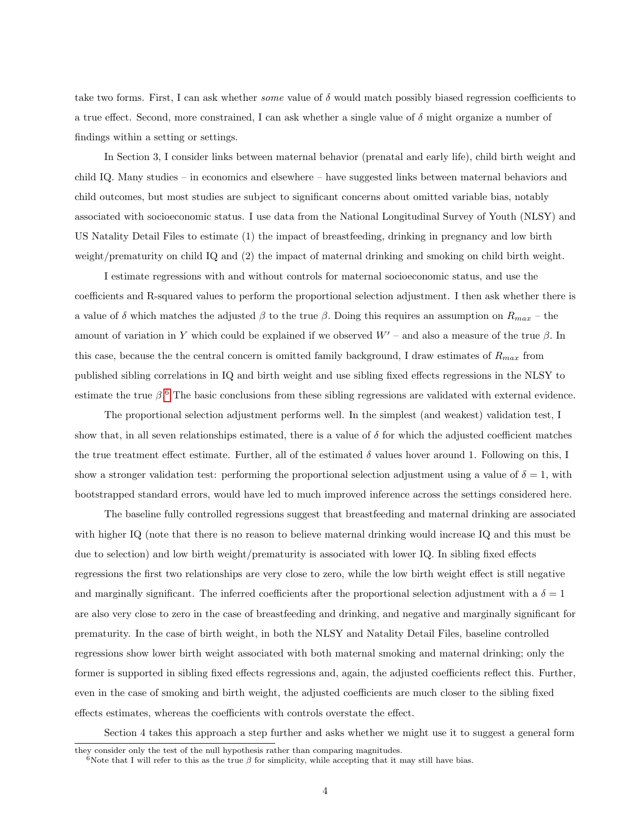take two forms. First, I can ask whether some value of δ would match possibly biased regression coefficients to a true effect. Second, more constrained, I can ask whether a single value of  $\delta$  might organize a number of findings within a setting or settings.

In Section 3, I consider links between maternal behavior (prenatal and early life), child birth weight and child IQ. Many studies – in economics and elsewhere – have suggested links between maternal behaviors and child outcomes, but most studies are subject to significant concerns about omitted variable bias, notably associated with socioeconomic status. I use data from the National Longitudinal Survey of Youth (NLSY) and US Natality Detail Files to estimate (1) the impact of breastfeeding, drinking in pregnancy and low birth weight/prematurity on child IQ and (2) the impact of maternal drinking and smoking on child birth weight.

I estimate regressions with and without controls for maternal socioeconomic status, and use the coefficients and R-squared values to perform the proportional selection adjustment. I then ask whether there is a value of  $\delta$  which matches the adjusted  $\beta$  to the true  $\beta$ . Doing this requires an assumption on  $R_{max}$  – the amount of variation in Y which could be explained if we observed  $W'$  – and also a measure of the true  $\beta$ . In this case, because the the central concern is omitted family background, I draw estimates of  $R_{max}$  from published sibling correlations in IQ and birth weight and use sibling fixed effects regressions in the NLSY to estimate the true  $\beta$ .<sup>[6](#page-4-0)</sup> The basic conclusions from these sibling regressions are validated with external evidence.

The proportional selection adjustment performs well. In the simplest (and weakest) validation test, I show that, in all seven relationships estimated, there is a value of  $\delta$  for which the adjusted coefficient matches the true treatment effect estimate. Further, all of the estimated  $\delta$  values hover around 1. Following on this, I show a stronger validation test: performing the proportional selection adjustment using a value of  $\delta = 1$ , with bootstrapped standard errors, would have led to much improved inference across the settings considered here.

The baseline fully controlled regressions suggest that breastfeeding and maternal drinking are associated with higher IQ (note that there is no reason to believe maternal drinking would increase IQ and this must be due to selection) and low birth weight/prematurity is associated with lower IQ. In sibling fixed effects regressions the first two relationships are very close to zero, while the low birth weight effect is still negative and marginally significant. The inferred coefficients after the proportional selection adjustment with a  $\delta = 1$ are also very close to zero in the case of breastfeeding and drinking, and negative and marginally significant for prematurity. In the case of birth weight, in both the NLSY and Natality Detail Files, baseline controlled regressions show lower birth weight associated with both maternal smoking and maternal drinking; only the former is supported in sibling fixed effects regressions and, again, the adjusted coefficients reflect this. Further, even in the case of smoking and birth weight, the adjusted coefficients are much closer to the sibling fixed effects estimates, whereas the coefficients with controls overstate the effect.

Section 4 takes this approach a step further and asks whether we might use it to suggest a general form

they consider only the test of the null hypothesis rather than comparing magnitudes.

<span id="page-4-0"></span><sup>&</sup>lt;sup>6</sup>Note that I will refer to this as the true  $\beta$  for simplicity, while accepting that it may still have bias.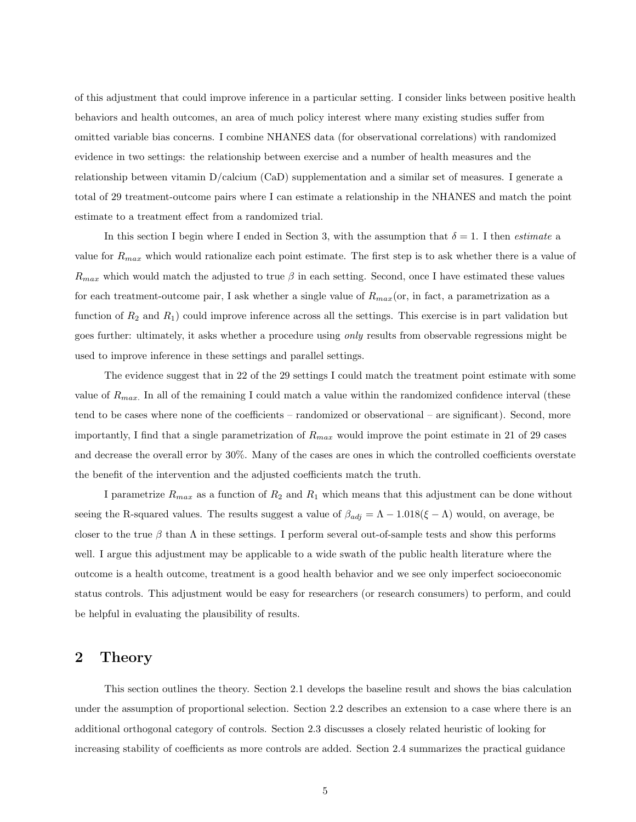of this adjustment that could improve inference in a particular setting. I consider links between positive health behaviors and health outcomes, an area of much policy interest where many existing studies suffer from omitted variable bias concerns. I combine NHANES data (for observational correlations) with randomized evidence in two settings: the relationship between exercise and a number of health measures and the relationship between vitamin D/calcium (CaD) supplementation and a similar set of measures. I generate a total of 29 treatment-outcome pairs where I can estimate a relationship in the NHANES and match the point estimate to a treatment effect from a randomized trial.

In this section I begin where I ended in Section 3, with the assumption that  $\delta = 1$ . I then *estimate* a value for  $R_{max}$  which would rationalize each point estimate. The first step is to ask whether there is a value of  $R_{max}$  which would match the adjusted to true  $\beta$  in each setting. Second, once I have estimated these values for each treatment-outcome pair, I ask whether a single value of  $R_{max}$  (or, in fact, a parametrization as a function of  $R_2$  and  $R_1$ ) could improve inference across all the settings. This exercise is in part validation but goes further: ultimately, it asks whether a procedure using only results from observable regressions might be used to improve inference in these settings and parallel settings.

The evidence suggest that in 22 of the 29 settings I could match the treatment point estimate with some value of  $R_{max}$ . In all of the remaining I could match a value within the randomized confidence interval (these tend to be cases where none of the coefficients – randomized or observational – are significant). Second, more importantly, I find that a single parametrization of  $R_{max}$  would improve the point estimate in 21 of 29 cases and decrease the overall error by 30%. Many of the cases are ones in which the controlled coefficients overstate the benefit of the intervention and the adjusted coefficients match the truth.

I parametrize  $R_{max}$  as a function of  $R_2$  and  $R_1$  which means that this adjustment can be done without seeing the R-squared values. The results suggest a value of  $\beta_{adj} = \Lambda - 1.018(\xi - \Lambda)$  would, on average, be closer to the true  $\beta$  than  $\Lambda$  in these settings. I perform several out-of-sample tests and show this performs well. I argue this adjustment may be applicable to a wide swath of the public health literature where the outcome is a health outcome, treatment is a good health behavior and we see only imperfect socioeconomic status controls. This adjustment would be easy for researchers (or research consumers) to perform, and could be helpful in evaluating the plausibility of results.

# 2 Theory

This section outlines the theory. Section 2.1 develops the baseline result and shows the bias calculation under the assumption of proportional selection. Section 2.2 describes an extension to a case where there is an additional orthogonal category of controls. Section 2.3 discusses a closely related heuristic of looking for increasing stability of coefficients as more controls are added. Section 2.4 summarizes the practical guidance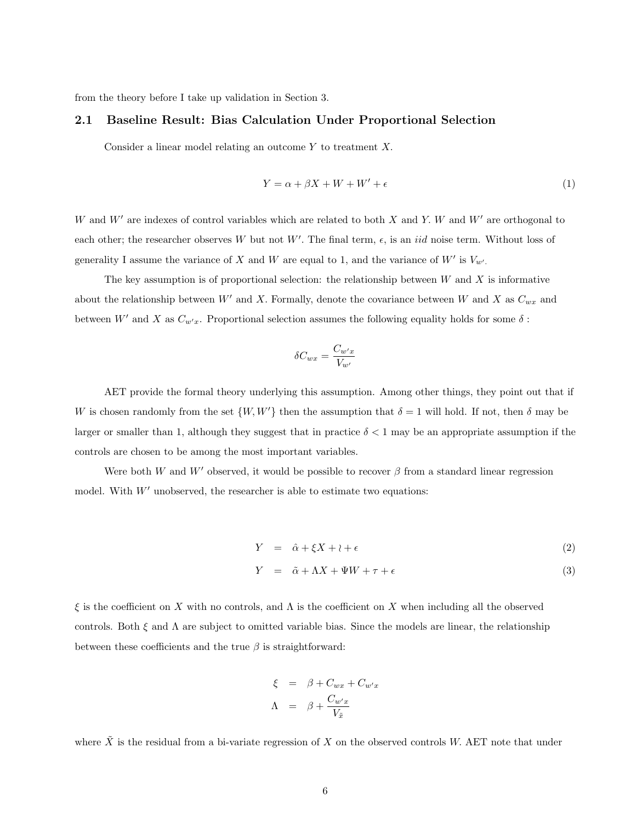from the theory before I take up validation in Section 3.

#### 2.1 Baseline Result: Bias Calculation Under Proportional Selection

Consider a linear model relating an outcome  $Y$  to treatment  $X$ .

$$
Y = \alpha + \beta X + W + W' + \epsilon \tag{1}
$$

W and  $W'$  are indexes of control variables which are related to both X and Y. W and W' are orthogonal to each other; the researcher observes W but not W'. The final term,  $\epsilon$ , is an *iid* noise term. Without loss of generality I assume the variance of X and W are equal to 1, and the variance of  $W'$  is  $V_{w'}$ .

The key assumption is of proportional selection: the relationship between  $W$  and  $X$  is informative about the relationship between W' and X. Formally, denote the covariance between W and X as  $C_{wx}$  and between W' and X as  $C_{w'x}$ . Proportional selection assumes the following equality holds for some  $\delta$ :

$$
\delta C_{wx} = \frac{C_{w'x}}{V_{w'}}
$$

AET provide the formal theory underlying this assumption. Among other things, they point out that if W is chosen randomly from the set  $\{W, W'\}$  then the assumption that  $\delta = 1$  will hold. If not, then  $\delta$  may be larger or smaller than 1, although they suggest that in practice  $\delta < 1$  may be an appropriate assumption if the controls are chosen to be among the most important variables.

Were both W and W' observed, it would be possible to recover  $\beta$  from a standard linear regression model. With  $W'$  unobserved, the researcher is able to estimate two equations:

$$
Y = \hat{\alpha} + \xi X + \iota + \epsilon \tag{2}
$$

$$
Y = \tilde{\alpha} + \Lambda X + \Psi W + \tau + \epsilon \tag{3}
$$

ξ is the coefficient on X with no controls, and Λ is the coefficient on X when including all the observed controls. Both  $\xi$  and  $\Lambda$  are subject to omitted variable bias. Since the models are linear, the relationship between these coefficients and the true  $\beta$  is straightforward:

$$
\xi = \beta + C_{wx} + C_{w'x}
$$

$$
\Lambda = \beta + \frac{C_{w'x}}{V_{\tilde{x}}}
$$

where  $\tilde{X}$  is the residual from a bi-variate regression of X on the observed controls W. AET note that under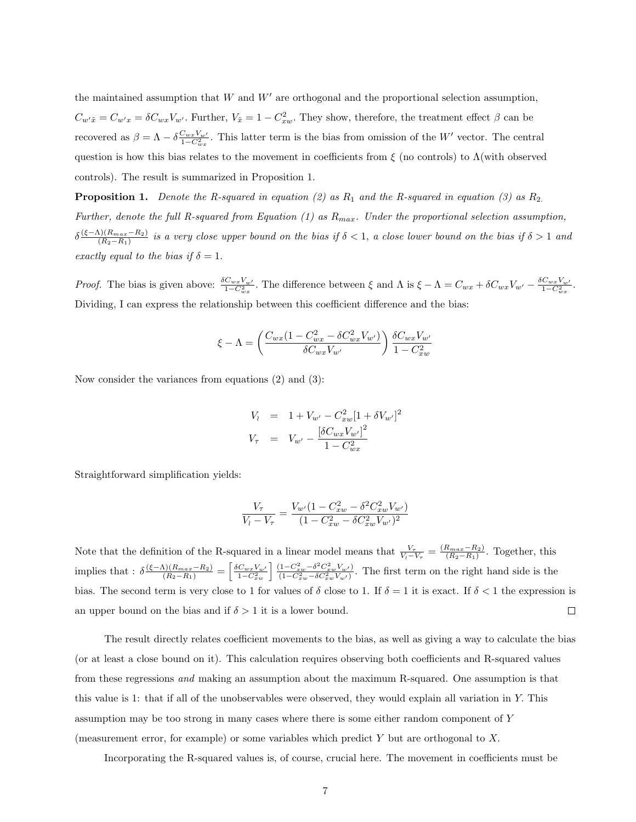the maintained assumption that  $W$  and  $W'$  are orthogonal and the proportional selection assumption,  $C_{w'\tilde{x}} = C_{w'x} = \delta C_{wx} V_{w'}$ . Further,  $V_{\tilde{x}} = 1 - C_{xw}^2$ . They show, therefore, the treatment effect  $\beta$  can be recovered as  $\beta = \Lambda - \delta \frac{C_{wx}V_{w'}}{1-C_{wx}^2}$ . This latter term is the bias from omission of the W' vector. The central question is how this bias relates to the movement in coefficients from  $\xi$  (no controls) to  $\Lambda$ (with observed controls). The result is summarized in Proposition 1.

**Proposition 1.** Denote the R-squared in equation (2) as  $R_1$  and the R-squared in equation (3) as  $R_2$ . Further, denote the full R-squared from Equation (1) as  $R_{max}$ . Under the proportional selection assumption,  $\delta \frac{(\xi-\Lambda)(R_{max}-R_2)}{(R_2-R_1)}$  $\frac{(R_{max}-R_2)}{(R_2-R_1)}$  is a very close upper bound on the bias if  $\delta < 1$ , a close lower bound on the bias if  $\delta > 1$  and exactly equal to the bias if  $\delta = 1$ .

*Proof.* The bias is given above:  $\frac{\delta C_{wx}V_{w'}}{1-C_{wx}^2}$ . The difference between  $\xi$  and  $\Lambda$  is  $\xi - \Lambda = C_{wx} + \delta C_{wx}V_{w'} - \frac{\delta C_{wx}V_{w'}}{1-C_{wx}^2}$ . Dividing, I can express the relationship between this coefficient difference and the bias:

$$
\xi - \Lambda = \left(\frac{C_{wx}(1 - C_{wx}^2 - \delta C_{wx}^2 V_{w'})}{\delta C_{wx} V_{w'}}\right) \frac{\delta C_{wx} V_{w'}}{1 - C_{xw}^2}
$$

Now consider the variances from equations (2) and (3):

$$
V_1 = 1 + V_{w'} - C_{xw}^2 [1 + \delta V_{w'}]^2
$$
  

$$
V_{\tau} = V_{w'} - \frac{[\delta C_{wx} V_{w'}]^2}{1 - C_{wx}^2}
$$

Straightforward simplification yields:

$$
\frac{V_{\tau}}{V_{l}-V_{\tau}} = \frac{V_{w'}(1-C_{xw}^{2}-\delta^{2}C_{xw}^{2}V_{w'})}{(1-C_{xw}^{2}-\delta C_{xw}^{2}V_{w'})^{2}}
$$

Note that the definition of the R-squared in a linear model means that  $\frac{V_{\tau}}{V_1 - V_{\tau}} = \frac{(R_{max} - R_2)}{(R_2 - R_1)}$  $\frac{R_{max} - R_2}{(R_2 - R_1)}$ . Together, this implies that :  $\delta \frac{(\xi - \Lambda)(R_{max} - R_2)}{(R_2 - R_1)} = \left[ \frac{\delta C_{wx} V_{w'}}{1 - C_{xw}^2} \right] \frac{(1 - C_{xw}^2 - \delta^2 C_{xw}^2 V_{w'})}{(1 - C_{xw}^2 - \delta C_{xw}^2 V_{w'})}$ . The first term on the right hand side is the bias. The second term is very close to 1 for values of  $\delta$  close to 1. If  $\delta = 1$  it is exact. If  $\delta < 1$  the expression is an upper bound on the bias and if  $\delta > 1$  it is a lower bound.  $\Box$ 

The result directly relates coefficient movements to the bias, as well as giving a way to calculate the bias (or at least a close bound on it). This calculation requires observing both coefficients and R-squared values from these regressions and making an assumption about the maximum R-squared. One assumption is that this value is 1: that if all of the unobservables were observed, they would explain all variation in Y. This assumption may be too strong in many cases where there is some either random component of Y (measurement error, for example) or some variables which predict Y but are orthogonal to X.

Incorporating the R-squared values is, of course, crucial here. The movement in coefficients must be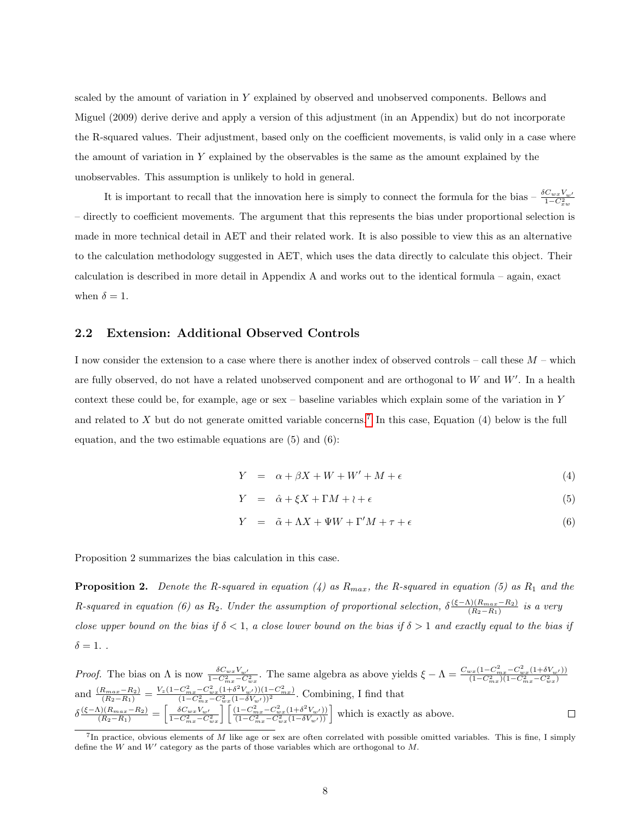scaled by the amount of variation in Y explained by observed and unobserved components. Bellows and Miguel (2009) derive derive and apply a version of this adjustment (in an Appendix) but do not incorporate the R-squared values. Their adjustment, based only on the coefficient movements, is valid only in a case where the amount of variation in Y explained by the observables is the same as the amount explained by the unobservables. This assumption is unlikely to hold in general.

It is important to recall that the innovation here is simply to connect the formula for the bias –  $\frac{\delta C_{wx}V_{w'}}{1-C_{xw}^2}$ – directly to coefficient movements. The argument that this represents the bias under proportional selection is made in more technical detail in AET and their related work. It is also possible to view this as an alternative to the calculation methodology suggested in AET, which uses the data directly to calculate this object. Their calculation is described in more detail in Appendix A and works out to the identical formula – again, exact when  $\delta = 1$ .

## 2.2 Extension: Additional Observed Controls

I now consider the extension to a case where there is another index of observed controls – call these M – which are fully observed, do not have a related unobserved component and are orthogonal to  $W$  and  $W'$ . In a health context these could be, for example, age or sex – baseline variables which explain some of the variation in Y and related to X but do not generate omitted variable concerns.<sup>[7](#page-8-0)</sup> In this case, Equation (4) below is the full equation, and the two estimable equations are (5) and (6):

$$
Y = \alpha + \beta X + W + W' + M + \epsilon \tag{4}
$$

$$
Y = \hat{\alpha} + \xi X + \Gamma M + \iota + \epsilon \tag{5}
$$

$$
Y = \tilde{\alpha} + \Lambda X + \Psi W + \Gamma' M + \tau + \epsilon \tag{6}
$$

Proposition 2 summarizes the bias calculation in this case.

**Proposition 2.** Denote the R-squared in equation (4) as  $R_{max}$ , the R-squared in equation (5) as  $R_1$  and the R-squared in equation (6) as  $R_2$ . Under the assumption of proportional selection,  $\delta \frac{(\xi-\Lambda)(R_{max}-R_2)}{(R_2-R_1)}$  $\frac{\Gamma\left(R_{max}-R_{2}\right)}{\Gamma\left(R_{2}-R_{1}\right)}$  is a very close upper bound on the bias if  $\delta < 1$ , a close lower bound on the bias if  $\delta > 1$  and exactly equal to the bias if  $\delta = 1.$ .

*Proof.* The bias on  $\Lambda$  is now  $\frac{\delta C_{wx}V_{w'}}{1-C_{mx}^2-C_{wx}^2}$ . The same algebra as above yields  $\xi - \Lambda = \frac{C_{wx}(1-C_{mx}^2-C_{wx}^2(1+\delta V_{w'}))}{(1-C_{mx}^2)(1-C_{mx}^2-C_{wx}^2)}$  $(1-C_{mx}^2)(1-C_{mx}^2-C_{wx}^2)$ and  $\frac{(R_{max}-R_2)}{(R_2-R_1)} = \frac{V_z(1-C_{mx}^2-C_{wx}^2(1+\delta^2V_{w'}))(1-C_{mx}^2)}{(1-C_{mx}^2-C_{wx}^2(1-\delta V_{w'}))^2}$  $\frac{(C_{mx}-C_{wx}(1+\delta V_w))}{(1-C_{mx}^2-C_{wx}^2(1-\delta V_{w'}))^2}$ . Combining, I find that  $\delta \frac{(\xi - \Lambda)(R_{max} - R_2)}{(R_2 - R_1)} = \left[\frac{\delta C_{wx} V_{w'} }{1 - C_{mx}^2 - C_{wx}^2} \right] \left[\frac{(1 - C_{mx}^2 - C_{wx}^2 (1 + \delta^2 V_{w'}))}{(1 - C_{mx}^2 - C_{wx}^2 (1 - \delta V_{w'}))}\right]$  $\frac{(1-C_{mx}^2-C_{wx}^2(1+\delta^2V_{w'}))}{(1-C_{mx}^2-C_{wx}^2(1-\delta V_{w'}))}$  which is exactly as above.  $\Box$ 

<span id="page-8-0"></span><sup>&</sup>lt;sup>7</sup>In practice, obvious elements of M like age or sex are often correlated with possible omitted variables. This is fine, I simply define the  $W$  and  $W'$  category as the parts of those variables which are orthogonal to  $M$ .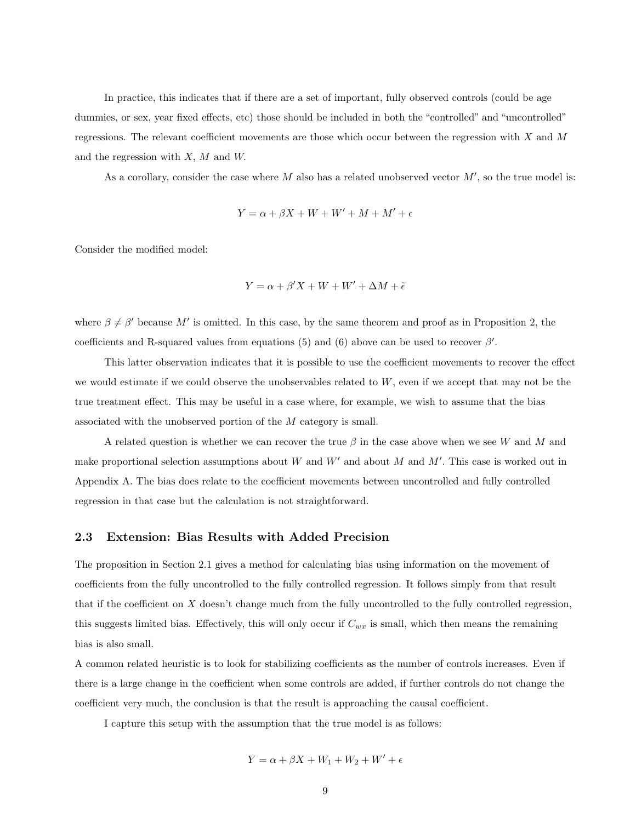In practice, this indicates that if there are a set of important, fully observed controls (could be age dummies, or sex, year fixed effects, etc) those should be included in both the "controlled" and "uncontrolled" regressions. The relevant coefficient movements are those which occur between the regression with  $X$  and  $M$ and the regression with  $X$ ,  $M$  and  $W$ .

As a corollary, consider the case where  $M$  also has a related unobserved vector  $M'$ , so the true model is:

$$
Y = \alpha + \beta X + W + W' + M + M' + \epsilon
$$

Consider the modified model:

$$
Y = \alpha + \beta' X + W + W' + \Delta M + \tilde{\epsilon}
$$

where  $\beta \neq \beta'$  because M' is omitted. In this case, by the same theorem and proof as in Proposition 2, the coefficients and R-squared values from equations (5) and (6) above can be used to recover  $\beta'$ .

This latter observation indicates that it is possible to use the coefficient movements to recover the effect we would estimate if we could observe the unobservables related to W, even if we accept that may not be the true treatment effect. This may be useful in a case where, for example, we wish to assume that the bias associated with the unobserved portion of the M category is small.

A related question is whether we can recover the true  $\beta$  in the case above when we see W and M and make proportional selection assumptions about W and  $W'$  and about M and  $M'$ . This case is worked out in Appendix A. The bias does relate to the coefficient movements between uncontrolled and fully controlled regression in that case but the calculation is not straightforward.

#### 2.3 Extension: Bias Results with Added Precision

The proposition in Section 2.1 gives a method for calculating bias using information on the movement of coefficients from the fully uncontrolled to the fully controlled regression. It follows simply from that result that if the coefficient on X doesn't change much from the fully uncontrolled to the fully controlled regression, this suggests limited bias. Effectively, this will only occur if  $C_{wx}$  is small, which then means the remaining bias is also small.

A common related heuristic is to look for stabilizing coefficients as the number of controls increases. Even if there is a large change in the coefficient when some controls are added, if further controls do not change the coefficient very much, the conclusion is that the result is approaching the causal coefficient.

I capture this setup with the assumption that the true model is as follows:

$$
Y = \alpha + \beta X + W_1 + W_2 + W' + \epsilon
$$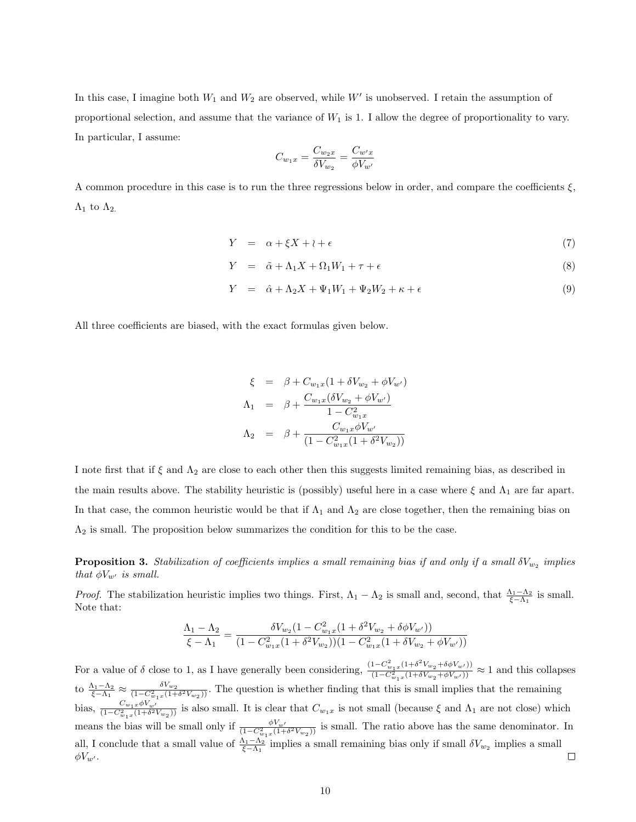In this case, I imagine both  $W_1$  and  $W_2$  are observed, while W' is unobserved. I retain the assumption of proportional selection, and assume that the variance of  $W_1$  is 1. I allow the degree of proportionality to vary. In particular, I assume:

$$
C_{w_1x}=\frac{C_{w_2x}}{\delta V_{w_2}}=\frac{C_{w'x}}{\phi V_{w'}}
$$

A common procedure in this case is to run the three regressions below in order, and compare the coefficients  $\xi$ ,  $\Lambda_1$  to  $\Lambda_2$ .

$$
Y = \alpha + \xi X + \iota + \epsilon \tag{7}
$$

$$
Y = \tilde{\alpha} + \Lambda_1 X + \Omega_1 W_1 + \tau + \epsilon \tag{8}
$$

$$
Y = \hat{\alpha} + \Lambda_2 X + \Psi_1 W_1 + \Psi_2 W_2 + \kappa + \epsilon \tag{9}
$$

All three coefficients are biased, with the exact formulas given below.

$$
\xi = \beta + C_{w_1x}(1 + \delta V_{w_2} + \phi V_{w'})
$$
  
\n
$$
\Lambda_1 = \beta + \frac{C_{w_1x}(\delta V_{w_2} + \phi V_{w'})}{1 - C_{w_1x}^2}
$$
  
\n
$$
\Lambda_2 = \beta + \frac{C_{w_1x}\phi V_{w'}}{(1 - C_{w_1x}^2(1 + \delta^2 V_{w_2}))}
$$

I note first that if  $\xi$  and  $\Lambda_2$  are close to each other then this suggests limited remaining bias, as described in the main results above. The stability heuristic is (possibly) useful here in a case where  $\xi$  and  $\Lambda_1$  are far apart. In that case, the common heuristic would be that if  $\Lambda_1$  and  $\Lambda_2$  are close together, then the remaining bias on  $\Lambda_2$  is small. The proposition below summarizes the condition for this to be the case.

**Proposition 3.** Stabilization of coefficients implies a small remaining bias if and only if a small  $\delta V_{w_2}$  implies that  $\phi V_{w'}$  is small.

*Proof.* The stabilization heuristic implies two things. First,  $\Lambda_1 - \Lambda_2$  is small and, second, that  $\frac{\Lambda_1 - \Lambda_2}{\xi - \Lambda_1}$  is small. Note that:

$$
\frac{\Lambda_1 - \Lambda_2}{\xi - \Lambda_1} = \frac{\delta V_{w_2} (1 - C_{w_1 x}^2 (1 + \delta^2 V_{w_2} + \delta \phi V_{w'}))}{(1 - C_{w_1 x}^2 (1 + \delta^2 V_{w_2})) (1 - C_{w_1 x}^2 (1 + \delta V_{w_2} + \phi V_{w'}))}
$$

For a value of  $\delta$  close to 1, as I have generally been considering,  $\frac{(1-C_{w_1x}^2(1+\delta^2V_{w_2}+\delta\phi V_{w'}))}{(1-C_{w_1x}^2(1+\delta V_{w_2}+\phi V_{w'}))} \approx 1$  and this collapses to  $\frac{\Lambda_1-\Lambda_2}{\xi-\Lambda_1} \approx \frac{\delta V_{w_2}}{(1-C_{w_1x}^2(1+\delta^2V_{w_2}))}$ . The question is whether finding that this is small implies that the remaining bias,  $\frac{C_{w_1x}\phi V_{w'}}{(1-C_{w_1x}^2(1+\delta^2 V_{w_2}))}$  is also small. It is clear that  $C_{w_1x}$  is not small (because  $\xi$  and  $\Lambda_1$  are not close) which means the bias will be small only if  $\frac{\phi V_{w'}}{(1-C_{w_1x}^2(1+\delta^2 V_{w_2}))}$  is small. The ratio above has the same denominator. In all, I conclude that a small value of  $\frac{\Lambda_1-\Lambda_2}{\xi-\Lambda_1}$  implies a small remaining bias only if small  $\delta V_{w_2}$  implies a small  $\Box$  $\phi V_{w'}$ .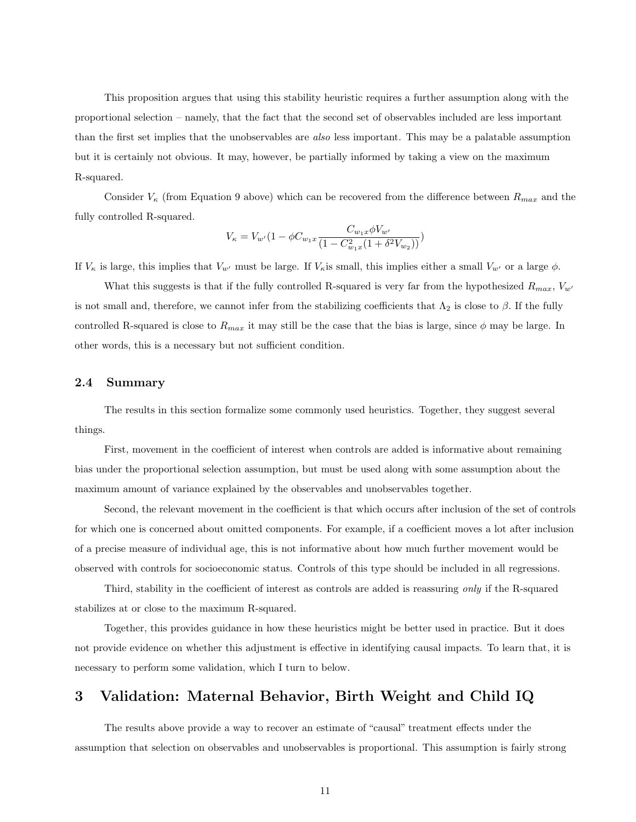This proposition argues that using this stability heuristic requires a further assumption along with the proportional selection – namely, that the fact that the second set of observables included are less important than the first set implies that the unobservables are also less important. This may be a palatable assumption but it is certainly not obvious. It may, however, be partially informed by taking a view on the maximum R-squared.

Consider  $V_{\kappa}$  (from Equation 9 above) which can be recovered from the difference between  $R_{max}$  and the fully controlled R-squared.

$$
V_{\kappa} = V_{w'} (1 - \phi C_{w_1 x} \frac{C_{w_1 x} \phi V_{w'}}{(1 - C_{w_1 x}^2 (1 + \delta^2 V_{w_2}))})
$$

If  $V_{\kappa}$  is large, this implies that  $V_{w'}$  must be large. If  $V_{\kappa}$  is small, this implies either a small  $V_{w'}$  or a large  $\phi$ .

What this suggests is that if the fully controlled R-squared is very far from the hypothesized  $R_{max}$ ,  $V_{w'}$ is not small and, therefore, we cannot infer from the stabilizing coefficients that  $\Lambda_2$  is close to  $\beta$ . If the fully controlled R-squared is close to  $R_{max}$  it may still be the case that the bias is large, since  $\phi$  may be large. In other words, this is a necessary but not sufficient condition.

## 2.4 Summary

The results in this section formalize some commonly used heuristics. Together, they suggest several things.

First, movement in the coefficient of interest when controls are added is informative about remaining bias under the proportional selection assumption, but must be used along with some assumption about the maximum amount of variance explained by the observables and unobservables together.

Second, the relevant movement in the coefficient is that which occurs after inclusion of the set of controls for which one is concerned about omitted components. For example, if a coefficient moves a lot after inclusion of a precise measure of individual age, this is not informative about how much further movement would be observed with controls for socioeconomic status. Controls of this type should be included in all regressions.

Third, stability in the coefficient of interest as controls are added is reassuring only if the R-squared stabilizes at or close to the maximum R-squared.

Together, this provides guidance in how these heuristics might be better used in practice. But it does not provide evidence on whether this adjustment is effective in identifying causal impacts. To learn that, it is necessary to perform some validation, which I turn to below.

# 3 Validation: Maternal Behavior, Birth Weight and Child IQ

The results above provide a way to recover an estimate of "causal" treatment effects under the assumption that selection on observables and unobservables is proportional. This assumption is fairly strong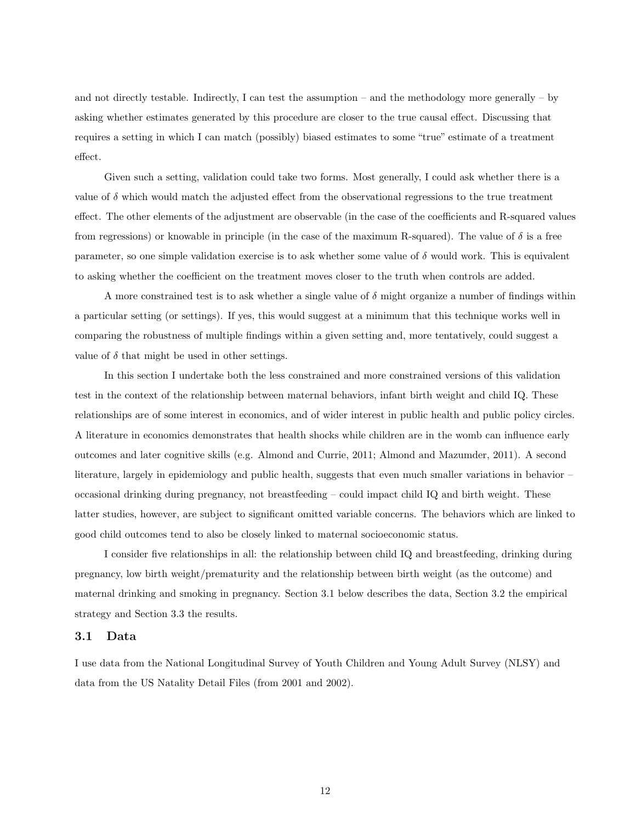and not directly testable. Indirectly, I can test the assumption – and the methodology more generally – by asking whether estimates generated by this procedure are closer to the true causal effect. Discussing that requires a setting in which I can match (possibly) biased estimates to some "true" estimate of a treatment effect.

Given such a setting, validation could take two forms. Most generally, I could ask whether there is a value of  $\delta$  which would match the adjusted effect from the observational regressions to the true treatment effect. The other elements of the adjustment are observable (in the case of the coefficients and R-squared values from regressions) or knowable in principle (in the case of the maximum R-squared). The value of  $\delta$  is a free parameter, so one simple validation exercise is to ask whether some value of  $\delta$  would work. This is equivalent to asking whether the coefficient on the treatment moves closer to the truth when controls are added.

A more constrained test is to ask whether a single value of  $\delta$  might organize a number of findings within a particular setting (or settings). If yes, this would suggest at a minimum that this technique works well in comparing the robustness of multiple findings within a given setting and, more tentatively, could suggest a value of  $\delta$  that might be used in other settings.

In this section I undertake both the less constrained and more constrained versions of this validation test in the context of the relationship between maternal behaviors, infant birth weight and child IQ. These relationships are of some interest in economics, and of wider interest in public health and public policy circles. A literature in economics demonstrates that health shocks while children are in the womb can influence early outcomes and later cognitive skills (e.g. Almond and Currie, 2011; Almond and Mazumder, 2011). A second literature, largely in epidemiology and public health, suggests that even much smaller variations in behavior – occasional drinking during pregnancy, not breastfeeding – could impact child IQ and birth weight. These latter studies, however, are subject to significant omitted variable concerns. The behaviors which are linked to good child outcomes tend to also be closely linked to maternal socioeconomic status.

I consider five relationships in all: the relationship between child IQ and breastfeeding, drinking during pregnancy, low birth weight/prematurity and the relationship between birth weight (as the outcome) and maternal drinking and smoking in pregnancy. Section 3.1 below describes the data, Section 3.2 the empirical strategy and Section 3.3 the results.

#### 3.1 Data

I use data from the National Longitudinal Survey of Youth Children and Young Adult Survey (NLSY) and data from the US Natality Detail Files (from 2001 and 2002).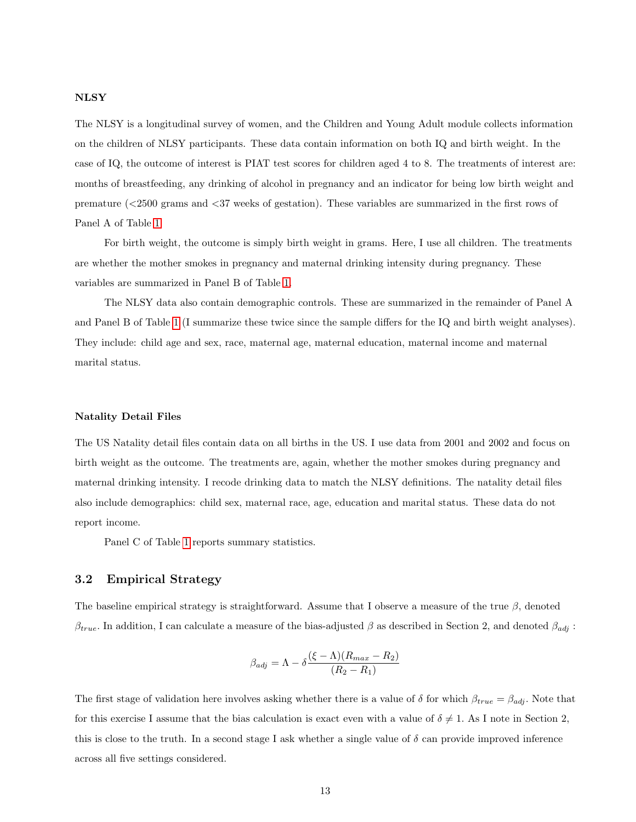#### NLSY

The NLSY is a longitudinal survey of women, and the Children and Young Adult module collects information on the children of NLSY participants. These data contain information on both IQ and birth weight. In the case of IQ, the outcome of interest is PIAT test scores for children aged 4 to 8. The treatments of interest are: months of breastfeeding, any drinking of alcohol in pregnancy and an indicator for being low birth weight and premature (<2500 grams and <37 weeks of gestation). These variables are summarized in the first rows of Panel A of Table [1.](#page-28-0)

For birth weight, the outcome is simply birth weight in grams. Here, I use all children. The treatments are whether the mother smokes in pregnancy and maternal drinking intensity during pregnancy. These variables are summarized in Panel B of Table [1.](#page-28-0)

The NLSY data also contain demographic controls. These are summarized in the remainder of Panel A and Panel B of Table [1](#page-28-0) (I summarize these twice since the sample differs for the IQ and birth weight analyses). They include: child age and sex, race, maternal age, maternal education, maternal income and maternal marital status.

#### Natality Detail Files

The US Natality detail files contain data on all births in the US. I use data from 2001 and 2002 and focus on birth weight as the outcome. The treatments are, again, whether the mother smokes during pregnancy and maternal drinking intensity. I recode drinking data to match the NLSY definitions. The natality detail files also include demographics: child sex, maternal race, age, education and marital status. These data do not report income.

Panel C of Table [1](#page-28-0) reports summary statistics.

## 3.2 Empirical Strategy

The baseline empirical strategy is straightforward. Assume that I observe a measure of the true  $\beta$ , denoted  $\beta_{true}$ . In addition, I can calculate a measure of the bias-adjusted  $\beta$  as described in Section 2, and denoted  $\beta_{adj}$ :

$$
\beta_{adj} = \Lambda - \delta \frac{(\xi - \Lambda)(R_{max} - R_2)}{(R_2 - R_1)}
$$

The first stage of validation here involves asking whether there is a value of  $\delta$  for which  $\beta_{true} = \beta_{adj}$ . Note that for this exercise I assume that the bias calculation is exact even with a value of  $\delta \neq 1$ . As I note in Section 2, this is close to the truth. In a second stage I ask whether a single value of  $\delta$  can provide improved inference across all five settings considered.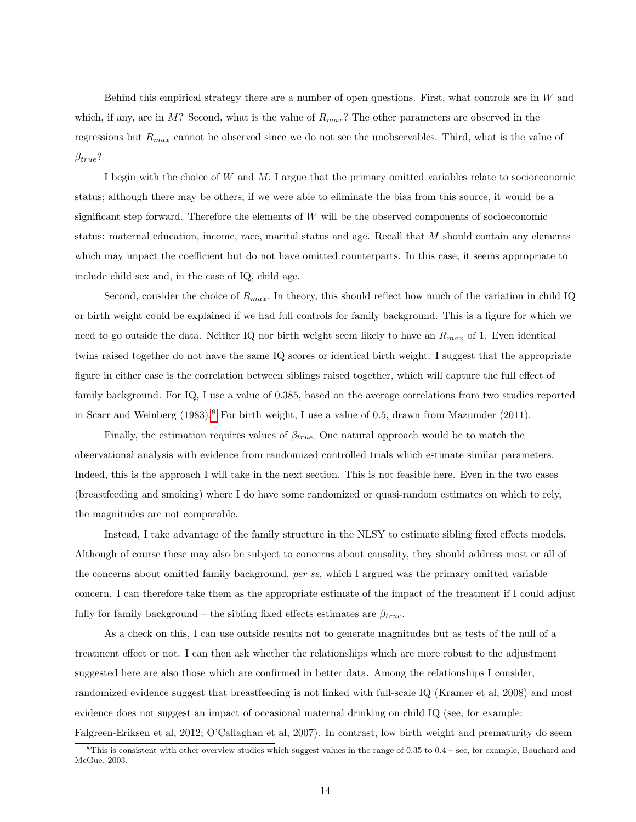Behind this empirical strategy there are a number of open questions. First, what controls are in  $W$  and which, if any, are in M? Second, what is the value of  $R_{max}$ ? The other parameters are observed in the regressions but  $R_{max}$  cannot be observed since we do not see the unobservables. Third, what is the value of  $\beta_{true}$ ?

I begin with the choice of W and M. I argue that the primary omitted variables relate to socioeconomic status; although there may be others, if we were able to eliminate the bias from this source, it would be a significant step forward. Therefore the elements of W will be the observed components of socioeconomic status: maternal education, income, race, marital status and age. Recall that M should contain any elements which may impact the coefficient but do not have omitted counterparts. In this case, it seems appropriate to include child sex and, in the case of IQ, child age.

Second, consider the choice of  $R_{max}$ . In theory, this should reflect how much of the variation in child IQ or birth weight could be explained if we had full controls for family background. This is a figure for which we need to go outside the data. Neither IQ nor birth weight seem likely to have an  $R_{max}$  of 1. Even identical twins raised together do not have the same IQ scores or identical birth weight. I suggest that the appropriate figure in either case is the correlation between siblings raised together, which will capture the full effect of family background. For IQ, I use a value of 0.385, based on the average correlations from two studies reported in Scarr and Weinberg (1983).[8](#page-14-0) For birth weight, I use a value of 0.5, drawn from Mazumder (2011).

Finally, the estimation requires values of  $\beta_{true}$ . One natural approach would be to match the observational analysis with evidence from randomized controlled trials which estimate similar parameters. Indeed, this is the approach I will take in the next section. This is not feasible here. Even in the two cases (breastfeeding and smoking) where I do have some randomized or quasi-random estimates on which to rely, the magnitudes are not comparable.

Instead, I take advantage of the family structure in the NLSY to estimate sibling fixed effects models. Although of course these may also be subject to concerns about causality, they should address most or all of the concerns about omitted family background, per se, which I argued was the primary omitted variable concern. I can therefore take them as the appropriate estimate of the impact of the treatment if I could adjust fully for family background – the sibling fixed effects estimates are  $\beta_{true}$ .

As a check on this, I can use outside results not to generate magnitudes but as tests of the null of a treatment effect or not. I can then ask whether the relationships which are more robust to the adjustment suggested here are also those which are confirmed in better data. Among the relationships I consider, randomized evidence suggest that breastfeeding is not linked with full-scale IQ (Kramer et al, 2008) and most evidence does not suggest an impact of occasional maternal drinking on child IQ (see, for example: Falgreen-Eriksen et al, 2012; O'Callaghan et al, 2007). In contrast, low birth weight and prematurity do seem

<span id="page-14-0"></span> $8$ This is consistent with other overview studies which suggest values in the range of 0.35 to 0.4 – see, for example, Bouchard and McGue, 2003.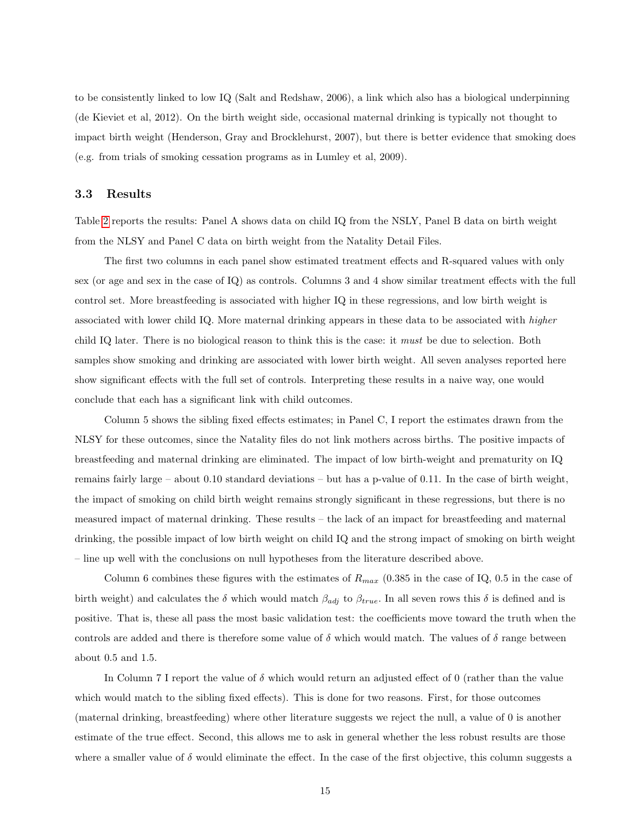to be consistently linked to low IQ (Salt and Redshaw, 2006), a link which also has a biological underpinning (de Kieviet et al, 2012). On the birth weight side, occasional maternal drinking is typically not thought to impact birth weight (Henderson, Gray and Brocklehurst, 2007), but there is better evidence that smoking does (e.g. from trials of smoking cessation programs as in Lumley et al, 2009).

### 3.3 Results

Table [2](#page-30-0) reports the results: Panel A shows data on child IQ from the NSLY, Panel B data on birth weight from the NLSY and Panel C data on birth weight from the Natality Detail Files.

The first two columns in each panel show estimated treatment effects and R-squared values with only sex (or age and sex in the case of IQ) as controls. Columns 3 and 4 show similar treatment effects with the full control set. More breastfeeding is associated with higher IQ in these regressions, and low birth weight is associated with lower child IQ. More maternal drinking appears in these data to be associated with higher child IQ later. There is no biological reason to think this is the case: it must be due to selection. Both samples show smoking and drinking are associated with lower birth weight. All seven analyses reported here show significant effects with the full set of controls. Interpreting these results in a naive way, one would conclude that each has a significant link with child outcomes.

Column 5 shows the sibling fixed effects estimates; in Panel C, I report the estimates drawn from the NLSY for these outcomes, since the Natality files do not link mothers across births. The positive impacts of breastfeeding and maternal drinking are eliminated. The impact of low birth-weight and prematurity on IQ remains fairly large – about 0.10 standard deviations – but has a p-value of 0.11. In the case of birth weight, the impact of smoking on child birth weight remains strongly significant in these regressions, but there is no measured impact of maternal drinking. These results – the lack of an impact for breastfeeding and maternal drinking, the possible impact of low birth weight on child IQ and the strong impact of smoking on birth weight – line up well with the conclusions on null hypotheses from the literature described above.

Column 6 combines these figures with the estimates of  $R_{max}$  (0.385 in the case of IQ, 0.5 in the case of birth weight) and calculates the  $\delta$  which would match  $\beta_{adj}$  to  $\beta_{true}$ . In all seven rows this  $\delta$  is defined and is positive. That is, these all pass the most basic validation test: the coefficients move toward the truth when the controls are added and there is therefore some value of  $\delta$  which would match. The values of  $\delta$  range between about 0.5 and 1.5.

In Column 7 I report the value of  $\delta$  which would return an adjusted effect of 0 (rather than the value which would match to the sibling fixed effects). This is done for two reasons. First, for those outcomes (maternal drinking, breastfeeding) where other literature suggests we reject the null, a value of 0 is another estimate of the true effect. Second, this allows me to ask in general whether the less robust results are those where a smaller value of  $\delta$  would eliminate the effect. In the case of the first objective, this column suggests a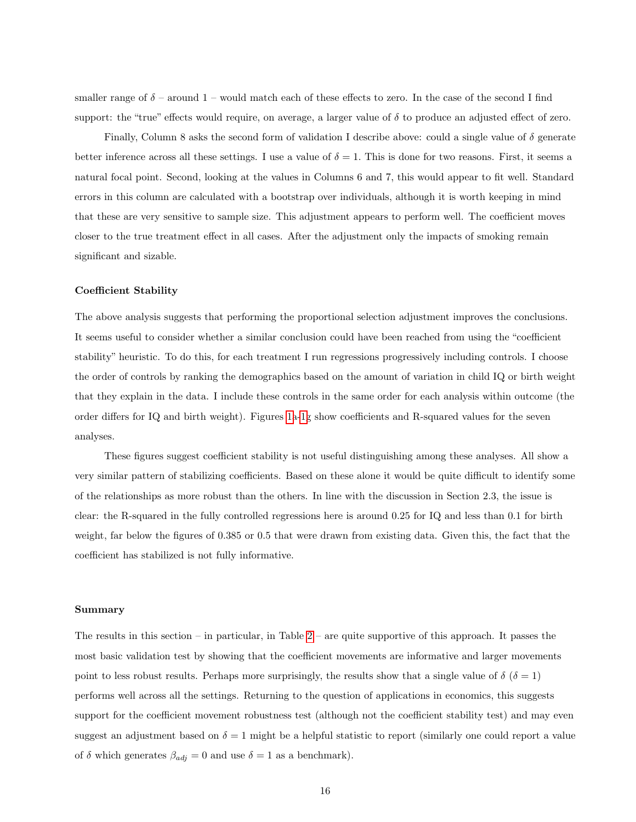smaller range of  $\delta$  – around 1 – would match each of these effects to zero. In the case of the second I find support: the "true" effects would require, on average, a larger value of  $\delta$  to produce an adjusted effect of zero.

Finally, Column 8 asks the second form of validation I describe above: could a single value of δ generate better inference across all these settings. I use a value of  $\delta = 1$ . This is done for two reasons. First, it seems a natural focal point. Second, looking at the values in Columns 6 and 7, this would appear to fit well. Standard errors in this column are calculated with a bootstrap over individuals, although it is worth keeping in mind that these are very sensitive to sample size. This adjustment appears to perform well. The coefficient moves closer to the true treatment effect in all cases. After the adjustment only the impacts of smoking remain significant and sizable.

#### Coefficient Stability

The above analysis suggests that performing the proportional selection adjustment improves the conclusions. It seems useful to consider whether a similar conclusion could have been reached from using the "coefficient stability" heuristic. To do this, for each treatment I run regressions progressively including controls. I choose the order of controls by ranking the demographics based on the amount of variation in child IQ or birth weight that they explain in the data. I include these controls in the same order for each analysis within outcome (the order differs for IQ and birth weight). Figures [1a-1g](#page-27-0) show coefficients and R-squared values for the seven analyses.

These figures suggest coefficient stability is not useful distinguishing among these analyses. All show a very similar pattern of stabilizing coefficients. Based on these alone it would be quite difficult to identify some of the relationships as more robust than the others. In line with the discussion in Section 2.3, the issue is clear: the R-squared in the fully controlled regressions here is around 0.25 for IQ and less than 0.1 for birth weight, far below the figures of 0.385 or 0.5 that were drawn from existing data. Given this, the fact that the coefficient has stabilized is not fully informative.

#### Summary

The results in this section – in particular, in Table [2](#page-30-0) – are quite supportive of this approach. It passes the most basic validation test by showing that the coefficient movements are informative and larger movements point to less robust results. Perhaps more surprisingly, the results show that a single value of  $\delta(\delta = 1)$ performs well across all the settings. Returning to the question of applications in economics, this suggests support for the coefficient movement robustness test (although not the coefficient stability test) and may even suggest an adjustment based on  $\delta = 1$  might be a helpful statistic to report (similarly one could report a value of  $\delta$  which generates  $\beta_{adj} = 0$  and use  $\delta = 1$  as a benchmark).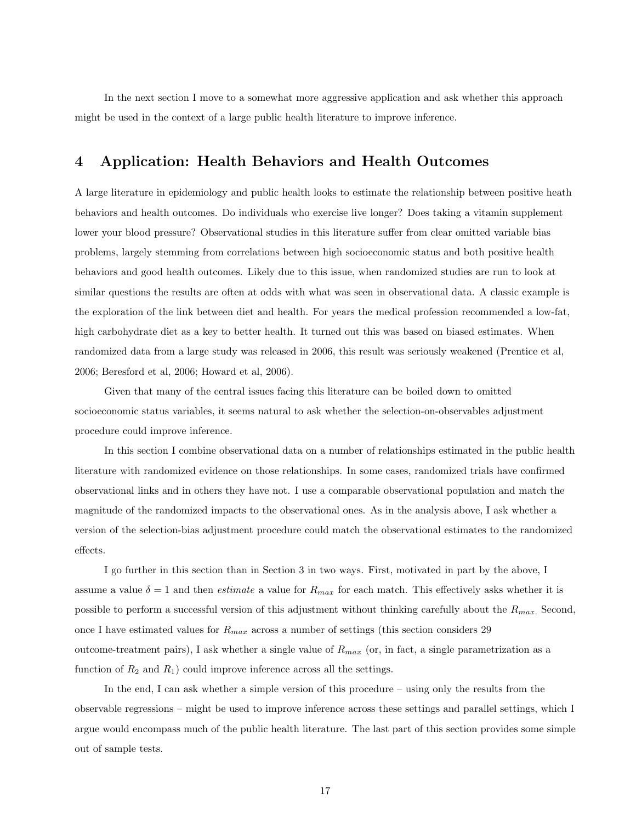In the next section I move to a somewhat more aggressive application and ask whether this approach might be used in the context of a large public health literature to improve inference.

# 4 Application: Health Behaviors and Health Outcomes

A large literature in epidemiology and public health looks to estimate the relationship between positive heath behaviors and health outcomes. Do individuals who exercise live longer? Does taking a vitamin supplement lower your blood pressure? Observational studies in this literature suffer from clear omitted variable bias problems, largely stemming from correlations between high socioeconomic status and both positive health behaviors and good health outcomes. Likely due to this issue, when randomized studies are run to look at similar questions the results are often at odds with what was seen in observational data. A classic example is the exploration of the link between diet and health. For years the medical profession recommended a low-fat, high carbohydrate diet as a key to better health. It turned out this was based on biased estimates. When randomized data from a large study was released in 2006, this result was seriously weakened (Prentice et al, 2006; Beresford et al, 2006; Howard et al, 2006).

Given that many of the central issues facing this literature can be boiled down to omitted socioeconomic status variables, it seems natural to ask whether the selection-on-observables adjustment procedure could improve inference.

In this section I combine observational data on a number of relationships estimated in the public health literature with randomized evidence on those relationships. In some cases, randomized trials have confirmed observational links and in others they have not. I use a comparable observational population and match the magnitude of the randomized impacts to the observational ones. As in the analysis above, I ask whether a version of the selection-bias adjustment procedure could match the observational estimates to the randomized effects.

I go further in this section than in Section 3 in two ways. First, motivated in part by the above, I assume a value  $\delta = 1$  and then *estimate* a value for  $R_{max}$  for each match. This effectively asks whether it is possible to perform a successful version of this adjustment without thinking carefully about the  $R_{max}$ . Second, once I have estimated values for  $R_{max}$  across a number of settings (this section considers 29 outcome-treatment pairs), I ask whether a single value of  $R_{max}$  (or, in fact, a single parametrization as a function of  $R_2$  and  $R_1$ ) could improve inference across all the settings.

In the end, I can ask whether a simple version of this procedure – using only the results from the observable regressions – might be used to improve inference across these settings and parallel settings, which I argue would encompass much of the public health literature. The last part of this section provides some simple out of sample tests.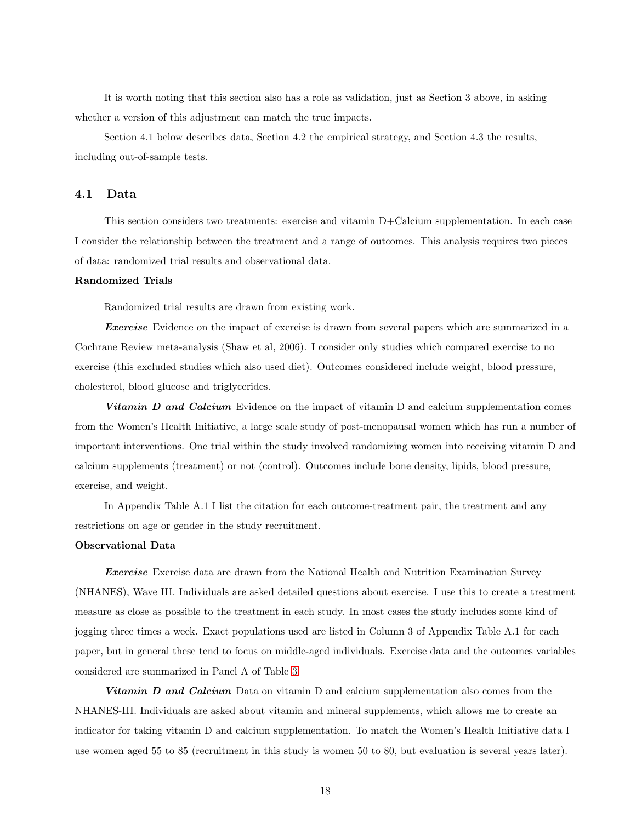It is worth noting that this section also has a role as validation, just as Section 3 above, in asking whether a version of this adjustment can match the true impacts.

Section 4.1 below describes data, Section 4.2 the empirical strategy, and Section 4.3 the results, including out-of-sample tests.

#### 4.1 Data

This section considers two treatments: exercise and vitamin D+Calcium supplementation. In each case I consider the relationship between the treatment and a range of outcomes. This analysis requires two pieces of data: randomized trial results and observational data.

#### Randomized Trials

Randomized trial results are drawn from existing work.

**Exercise** Evidence on the impact of exercise is drawn from several papers which are summarized in a Cochrane Review meta-analysis (Shaw et al, 2006). I consider only studies which compared exercise to no exercise (this excluded studies which also used diet). Outcomes considered include weight, blood pressure, cholesterol, blood glucose and triglycerides.

**Vitamin D and Calcium** Evidence on the impact of vitamin D and calcium supplementation comes from the Women's Health Initiative, a large scale study of post-menopausal women which has run a number of important interventions. One trial within the study involved randomizing women into receiving vitamin D and calcium supplements (treatment) or not (control). Outcomes include bone density, lipids, blood pressure, exercise, and weight.

In Appendix Table A.1 I list the citation for each outcome-treatment pair, the treatment and any restrictions on age or gender in the study recruitment.

#### Observational Data

Exercise Exercise data are drawn from the National Health and Nutrition Examination Survey (NHANES), Wave III. Individuals are asked detailed questions about exercise. I use this to create a treatment measure as close as possible to the treatment in each study. In most cases the study includes some kind of jogging three times a week. Exact populations used are listed in Column 3 of Appendix Table A.1 for each paper, but in general these tend to focus on middle-aged individuals. Exercise data and the outcomes variables considered are summarized in Panel A of Table [3.](#page-31-0)

Vitamin D and Calcium Data on vitamin D and calcium supplementation also comes from the NHANES-III. Individuals are asked about vitamin and mineral supplements, which allows me to create an indicator for taking vitamin D and calcium supplementation. To match the Women's Health Initiative data I use women aged 55 to 85 (recruitment in this study is women 50 to 80, but evaluation is several years later).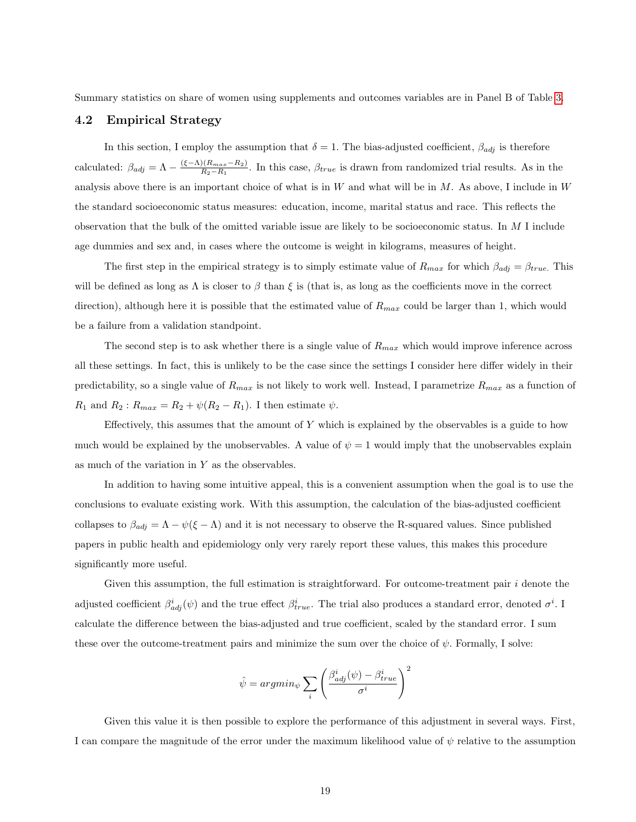Summary statistics on share of women using supplements and outcomes variables are in Panel B of Table [3.](#page-31-0)

## 4.2 Empirical Strategy

In this section, I employ the assumption that  $\delta = 1$ . The bias-adjusted coefficient,  $\beta_{adj}$  is therefore calculated:  $\beta_{adj} = \Lambda - \frac{(\xi - \Lambda)(R_{max} - R_2)}{R_2 - R_1}$  $\frac{R_1(R_{max}-R_2)}{R_2-R_1}$ . In this case,  $\beta_{true}$  is drawn from randomized trial results. As in the analysis above there is an important choice of what is in  $W$  and what will be in  $M$ . As above, I include in  $W$ the standard socioeconomic status measures: education, income, marital status and race. This reflects the observation that the bulk of the omitted variable issue are likely to be socioeconomic status. In M I include age dummies and sex and, in cases where the outcome is weight in kilograms, measures of height.

The first step in the empirical strategy is to simply estimate value of  $R_{max}$  for which  $\beta_{adj} = \beta_{true}$ . This will be defined as long as  $\Lambda$  is closer to  $\beta$  than  $\xi$  is (that is, as long as the coefficients move in the correct direction), although here it is possible that the estimated value of  $R_{max}$  could be larger than 1, which would be a failure from a validation standpoint.

The second step is to ask whether there is a single value of  $R_{max}$  which would improve inference across all these settings. In fact, this is unlikely to be the case since the settings I consider here differ widely in their predictability, so a single value of  $R_{max}$  is not likely to work well. Instead, I parametrize  $R_{max}$  as a function of  $R_1$  and  $R_2: R_{max} = R_2 + \psi(R_2 - R_1)$ . I then estimate  $\psi$ .

Effectively, this assumes that the amount of  $Y$  which is explained by the observables is a guide to how much would be explained by the unobservables. A value of  $\psi = 1$  would imply that the unobservables explain as much of the variation in  $Y$  as the observables.

In addition to having some intuitive appeal, this is a convenient assumption when the goal is to use the conclusions to evaluate existing work. With this assumption, the calculation of the bias-adjusted coefficient collapses to  $\beta_{adj} = \Lambda - \psi(\xi - \Lambda)$  and it is not necessary to observe the R-squared values. Since published papers in public health and epidemiology only very rarely report these values, this makes this procedure significantly more useful.

Given this assumption, the full estimation is straightforward. For outcome-treatment pair  $i$  denote the adjusted coefficient  $\beta^i_{adj}(\psi)$  and the true effect  $\beta^i_{true}$ . The trial also produces a standard error, denoted  $\sigma^i$ . I calculate the difference between the bias-adjusted and true coefficient, scaled by the standard error. I sum these over the outcome-treatment pairs and minimize the sum over the choice of  $\psi$ . Formally, I solve:

$$
\hat{\psi} = argmin_{\psi} \sum_{i} \left( \frac{\beta_{adj}^{i}(\psi) - \beta_{true}^{i}}{\sigma^{i}} \right)^{2}
$$

Given this value it is then possible to explore the performance of this adjustment in several ways. First, I can compare the magnitude of the error under the maximum likelihood value of  $\psi$  relative to the assumption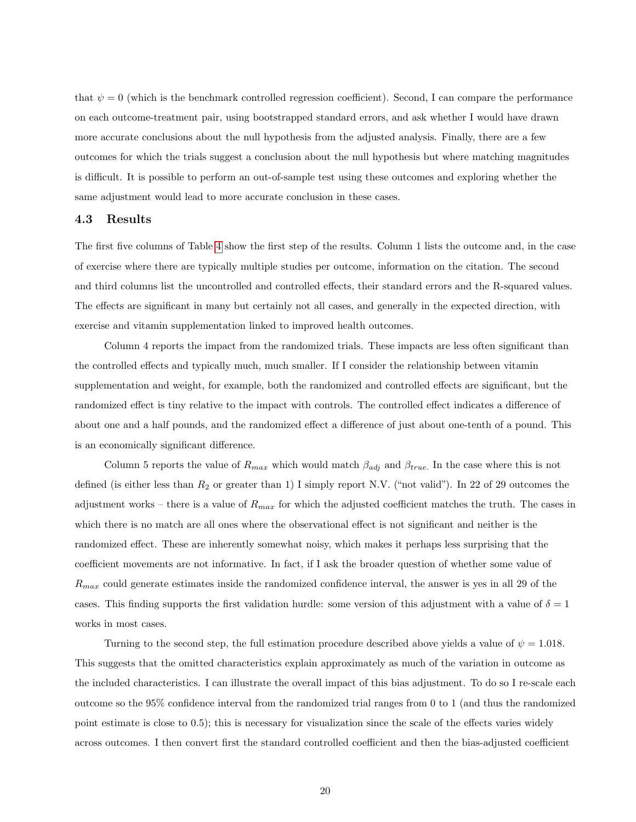that  $\psi = 0$  (which is the benchmark controlled regression coefficient). Second, I can compare the performance on each outcome-treatment pair, using bootstrapped standard errors, and ask whether I would have drawn more accurate conclusions about the null hypothesis from the adjusted analysis. Finally, there are a few outcomes for which the trials suggest a conclusion about the null hypothesis but where matching magnitudes is difficult. It is possible to perform an out-of-sample test using these outcomes and exploring whether the same adjustment would lead to more accurate conclusion in these cases.

#### 4.3 Results

The first five columns of Table [4](#page-32-0) show the first step of the results. Column 1 lists the outcome and, in the case of exercise where there are typically multiple studies per outcome, information on the citation. The second and third columns list the uncontrolled and controlled effects, their standard errors and the R-squared values. The effects are significant in many but certainly not all cases, and generally in the expected direction, with exercise and vitamin supplementation linked to improved health outcomes.

Column 4 reports the impact from the randomized trials. These impacts are less often significant than the controlled effects and typically much, much smaller. If I consider the relationship between vitamin supplementation and weight, for example, both the randomized and controlled effects are significant, but the randomized effect is tiny relative to the impact with controls. The controlled effect indicates a difference of about one and a half pounds, and the randomized effect a difference of just about one-tenth of a pound. This is an economically significant difference.

Column 5 reports the value of  $R_{max}$  which would match  $\beta_{adj}$  and  $\beta_{true}$ . In the case where this is not defined (is either less than  $R_2$  or greater than 1) I simply report N.V. ("not valid"). In 22 of 29 outcomes the adjustment works – there is a value of  $R_{max}$  for which the adjusted coefficient matches the truth. The cases in which there is no match are all ones where the observational effect is not significant and neither is the randomized effect. These are inherently somewhat noisy, which makes it perhaps less surprising that the coefficient movements are not informative. In fact, if I ask the broader question of whether some value of  $R_{max}$  could generate estimates inside the randomized confidence interval, the answer is yes in all 29 of the cases. This finding supports the first validation hurdle: some version of this adjustment with a value of  $\delta = 1$ works in most cases.

Turning to the second step, the full estimation procedure described above yields a value of  $\psi = 1.018$ . This suggests that the omitted characteristics explain approximately as much of the variation in outcome as the included characteristics. I can illustrate the overall impact of this bias adjustment. To do so I re-scale each outcome so the 95% confidence interval from the randomized trial ranges from 0 to 1 (and thus the randomized point estimate is close to 0.5); this is necessary for visualization since the scale of the effects varies widely across outcomes. I then convert first the standard controlled coefficient and then the bias-adjusted coefficient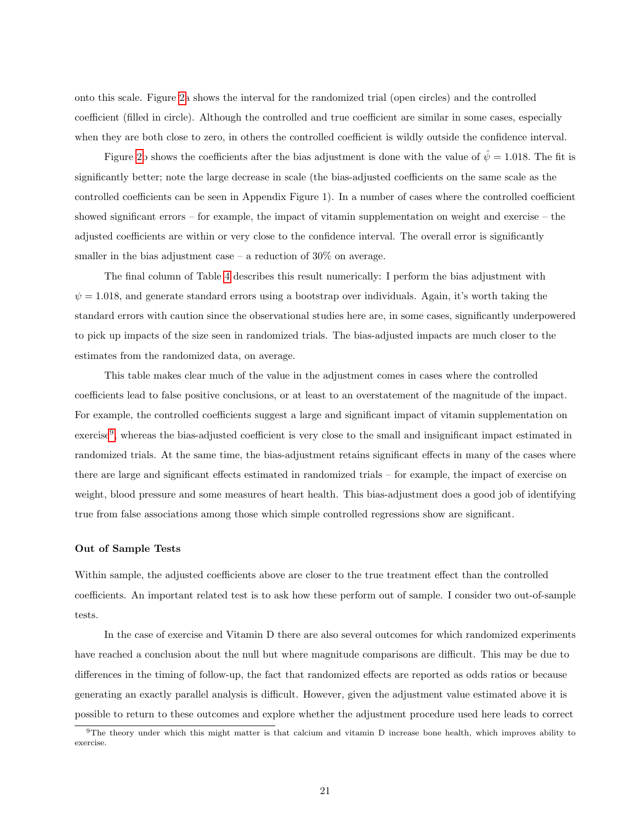onto this scale. Figure [2a](#page-29-0) shows the interval for the randomized trial (open circles) and the controlled coefficient (filled in circle). Although the controlled and true coefficient are similar in some cases, especially when they are both close to zero, in others the controlled coefficient is wildly outside the confidence interval.

Figure [2b](#page-29-0) shows the coefficients after the bias adjustment is done with the value of  $\hat{\psi} = 1.018$ . The fit is significantly better; note the large decrease in scale (the bias-adjusted coefficients on the same scale as the controlled coefficients can be seen in Appendix Figure 1). In a number of cases where the controlled coefficient showed significant errors – for example, the impact of vitamin supplementation on weight and exercise – the adjusted coefficients are within or very close to the confidence interval. The overall error is significantly smaller in the bias adjustment case  $-$  a reduction of 30% on average.

The final column of Table [4](#page-32-0) describes this result numerically: I perform the bias adjustment with  $\psi = 1.018$ , and generate standard errors using a bootstrap over individuals. Again, it's worth taking the standard errors with caution since the observational studies here are, in some cases, significantly underpowered to pick up impacts of the size seen in randomized trials. The bias-adjusted impacts are much closer to the estimates from the randomized data, on average.

This table makes clear much of the value in the adjustment comes in cases where the controlled coefficients lead to false positive conclusions, or at least to an overstatement of the magnitude of the impact. For example, the controlled coefficients suggest a large and significant impact of vitamin supplementation on exercise<sup>[9](#page-21-0)</sup>, whereas the bias-adjusted coefficient is very close to the small and insignificant impact estimated in randomized trials. At the same time, the bias-adjustment retains significant effects in many of the cases where there are large and significant effects estimated in randomized trials – for example, the impact of exercise on weight, blood pressure and some measures of heart health. This bias-adjustment does a good job of identifying true from false associations among those which simple controlled regressions show are significant.

#### Out of Sample Tests

Within sample, the adjusted coefficients above are closer to the true treatment effect than the controlled coefficients. An important related test is to ask how these perform out of sample. I consider two out-of-sample tests.

In the case of exercise and Vitamin D there are also several outcomes for which randomized experiments have reached a conclusion about the null but where magnitude comparisons are difficult. This may be due to differences in the timing of follow-up, the fact that randomized effects are reported as odds ratios or because generating an exactly parallel analysis is difficult. However, given the adjustment value estimated above it is possible to return to these outcomes and explore whether the adjustment procedure used here leads to correct

<span id="page-21-0"></span><sup>&</sup>lt;sup>9</sup>The theory under which this might matter is that calcium and vitamin D increase bone health, which improves ability to exercise.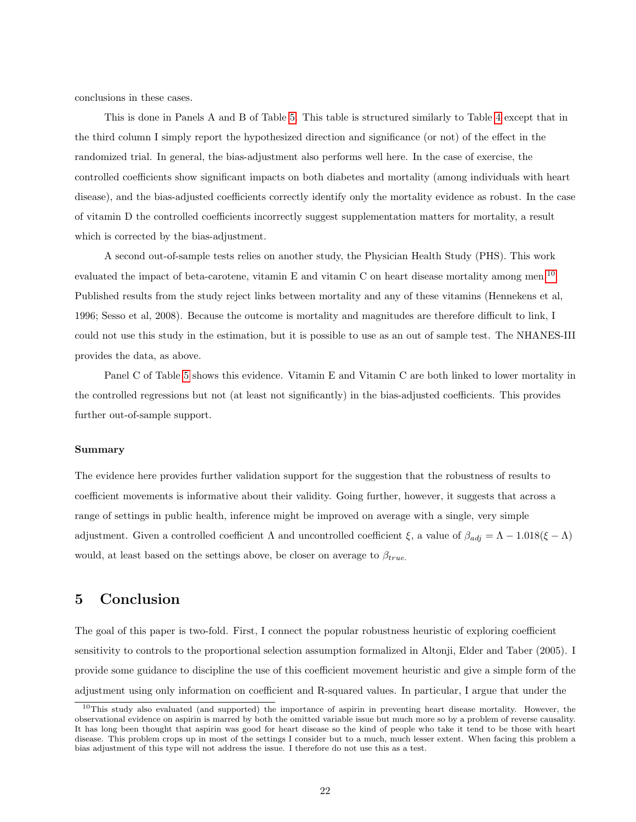conclusions in these cases.

This is done in Panels A and B of Table [5.](#page-33-0) This table is structured similarly to Table [4](#page-32-0) except that in the third column I simply report the hypothesized direction and significance (or not) of the effect in the randomized trial. In general, the bias-adjustment also performs well here. In the case of exercise, the controlled coefficients show significant impacts on both diabetes and mortality (among individuals with heart disease), and the bias-adjusted coefficients correctly identify only the mortality evidence as robust. In the case of vitamin D the controlled coefficients incorrectly suggest supplementation matters for mortality, a result which is corrected by the bias-adjustment.

A second out-of-sample tests relies on another study, the Physician Health Study (PHS). This work evaluated the impact of beta-carotene, vitamin E and vitamin C on heart disease mortality among men.[10](#page-22-0) Published results from the study reject links between mortality and any of these vitamins (Hennekens et al, 1996; Sesso et al, 2008). Because the outcome is mortality and magnitudes are therefore difficult to link, I could not use this study in the estimation, but it is possible to use as an out of sample test. The NHANES-III provides the data, as above.

Panel C of Table [5](#page-33-0) shows this evidence. Vitamin E and Vitamin C are both linked to lower mortality in the controlled regressions but not (at least not significantly) in the bias-adjusted coefficients. This provides further out-of-sample support.

#### Summary

The evidence here provides further validation support for the suggestion that the robustness of results to coefficient movements is informative about their validity. Going further, however, it suggests that across a range of settings in public health, inference might be improved on average with a single, very simple adjustment. Given a controlled coefficient  $\Lambda$  and uncontrolled coefficient  $\xi$ , a value of  $\beta_{adj} = \Lambda - 1.018(\xi - \Lambda)$ would, at least based on the settings above, be closer on average to  $\beta_{true}$ .

# 5 Conclusion

The goal of this paper is two-fold. First, I connect the popular robustness heuristic of exploring coefficient sensitivity to controls to the proportional selection assumption formalized in Altonji, Elder and Taber (2005). I provide some guidance to discipline the use of this coefficient movement heuristic and give a simple form of the adjustment using only information on coefficient and R-squared values. In particular, I argue that under the

<span id="page-22-0"></span> $10$ This study also evaluated (and supported) the importance of aspirin in preventing heart disease mortality. However, the observational evidence on aspirin is marred by both the omitted variable issue but much more so by a problem of reverse causality. It has long been thought that aspirin was good for heart disease so the kind of people who take it tend to be those with heart disease. This problem crops up in most of the settings I consider but to a much, much lesser extent. When facing this problem a bias adjustment of this type will not address the issue. I therefore do not use this as a test.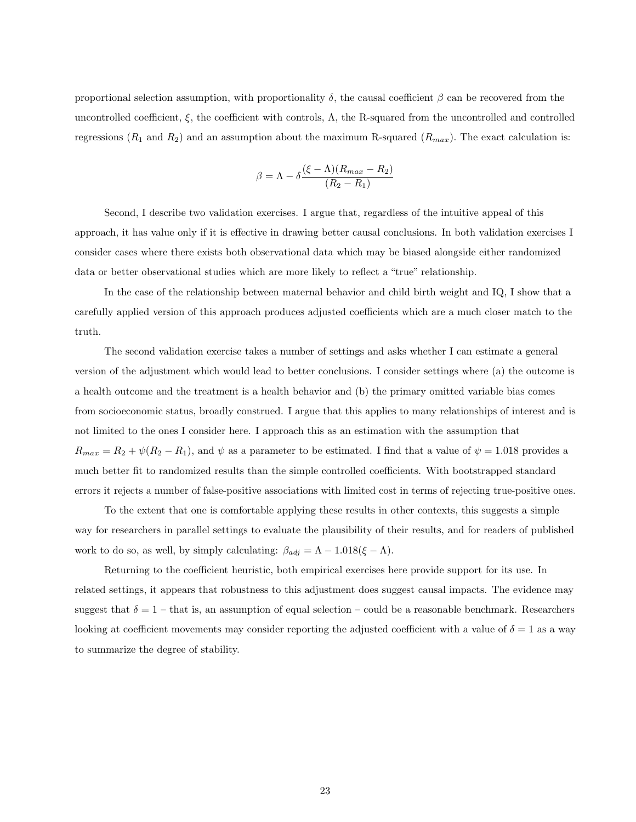proportional selection assumption, with proportionality  $\delta$ , the causal coefficient  $\beta$  can be recovered from the uncontrolled coefficient,  $\xi$ , the coefficient with controls,  $\Lambda$ , the R-squared from the uncontrolled and controlled regressions ( $R_1$  and  $R_2$ ) and an assumption about the maximum R-squared ( $R_{max}$ ). The exact calculation is:

$$
\beta = \Lambda - \delta \frac{(\xi - \Lambda)(R_{max} - R_2)}{(R_2 - R_1)}
$$

Second, I describe two validation exercises. I argue that, regardless of the intuitive appeal of this approach, it has value only if it is effective in drawing better causal conclusions. In both validation exercises I consider cases where there exists both observational data which may be biased alongside either randomized data or better observational studies which are more likely to reflect a "true" relationship.

In the case of the relationship between maternal behavior and child birth weight and IQ, I show that a carefully applied version of this approach produces adjusted coefficients which are a much closer match to the truth.

The second validation exercise takes a number of settings and asks whether I can estimate a general version of the adjustment which would lead to better conclusions. I consider settings where (a) the outcome is a health outcome and the treatment is a health behavior and (b) the primary omitted variable bias comes from socioeconomic status, broadly construed. I argue that this applies to many relationships of interest and is not limited to the ones I consider here. I approach this as an estimation with the assumption that  $R_{max} = R_2 + \psi(R_2 - R_1)$ , and  $\psi$  as a parameter to be estimated. I find that a value of  $\psi = 1.018$  provides a much better fit to randomized results than the simple controlled coefficients. With bootstrapped standard errors it rejects a number of false-positive associations with limited cost in terms of rejecting true-positive ones.

To the extent that one is comfortable applying these results in other contexts, this suggests a simple way for researchers in parallel settings to evaluate the plausibility of their results, and for readers of published work to do so, as well, by simply calculating:  $\beta_{adj} = \Lambda - 1.018(\xi - \Lambda)$ .

Returning to the coefficient heuristic, both empirical exercises here provide support for its use. In related settings, it appears that robustness to this adjustment does suggest causal impacts. The evidence may suggest that  $\delta = 1$  – that is, an assumption of equal selection – could be a reasonable benchmark. Researchers looking at coefficient movements may consider reporting the adjusted coefficient with a value of  $\delta = 1$  as a way to summarize the degree of stability.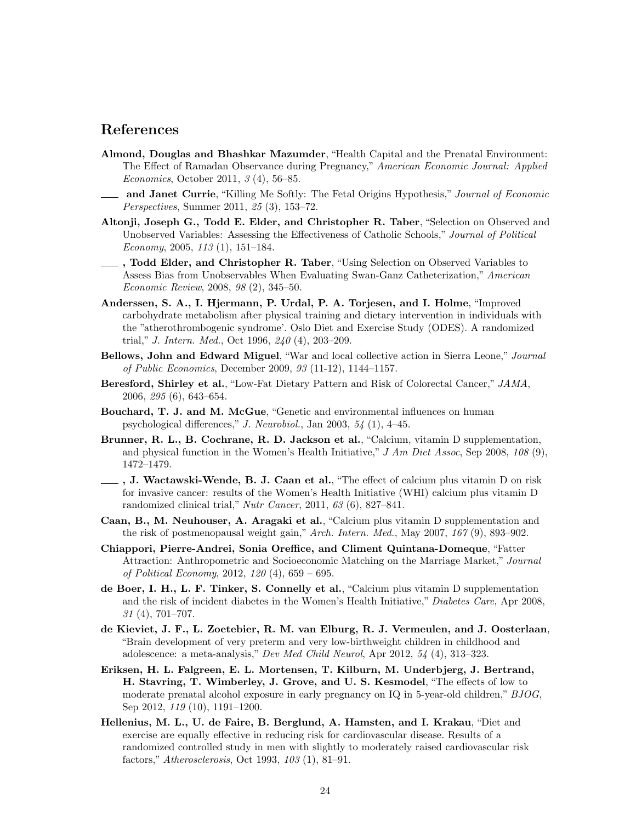# References

- Almond, Douglas and Bhashkar Mazumder, "Health Capital and the Prenatal Environment: The Effect of Ramadan Observance during Pregnancy," American Economic Journal: Applied Economics, October 2011, 3 (4), 56–85.
- and Janet Currie, "Killing Me Softly: The Fetal Origins Hypothesis," Journal of Economic Perspectives, Summer 2011, 25 (3), 153–72.
- Altonji, Joseph G., Todd E. Elder, and Christopher R. Taber, "Selection on Observed and Unobserved Variables: Assessing the Effectiveness of Catholic Schools," Journal of Political Economy, 2005, 113 (1), 151–184.
- , Todd Elder, and Christopher R. Taber, "Using Selection on Observed Variables to Assess Bias from Unobservables When Evaluating Swan-Ganz Catheterization," American Economic Review, 2008, 98 (2), 345–50.
- Anderssen, S. A., I. Hjermann, P. Urdal, P. A. Torjesen, and I. Holme, "Improved carbohydrate metabolism after physical training and dietary intervention in individuals with the "atherothrombogenic syndrome'. Oslo Diet and Exercise Study (ODES). A randomized trial," J. Intern. Med., Oct 1996,  $240(4)$ , 203-209.
- Bellows, John and Edward Miguel, "War and local collective action in Sierra Leone," Journal of Public Economics, December 2009, 93 (11-12), 1144–1157.
- Beresford, Shirley et al., "Low-Fat Dietary Pattern and Risk of Colorectal Cancer," JAMA, 2006, 295 (6), 643–654.
- Bouchard, T. J. and M. McGue, "Genetic and environmental influences on human psychological differences," J. Neurobiol., Jan 2003, 54 (1), 4–45.
- Brunner, R. L., B. Cochrane, R. D. Jackson et al., "Calcium, vitamin D supplementation, and physical function in the Women's Health Initiative,"  $J Am Diet Assoc$ , Sep 2008, 108 (9), 1472–1479.
- $\overline{\phantom{a}}$ , J. Wactawski-Wende, B. J. Caan et al., "The effect of calcium plus vitamin D on risk for invasive cancer: results of the Women's Health Initiative (WHI) calcium plus vitamin D randomized clinical trial," Nutr Cancer, 2011, 63 (6), 827–841.
- Caan, B., M. Neuhouser, A. Aragaki et al., "Calcium plus vitamin D supplementation and the risk of postmenopausal weight gain," Arch. Intern. Med., May 2007, 167 (9), 893–902.
- Chiappori, Pierre-Andrei, Sonia Oreffice, and Climent Quintana-Domeque, "Fatter Attraction: Anthropometric and Socioeconomic Matching on the Marriage Market," Journal of Political Economy, 2012, 120 (4), 659 – 695.
- de Boer, I. H., L. F. Tinker, S. Connelly et al., "Calcium plus vitamin D supplementation and the risk of incident diabetes in the Women's Health Initiative," Diabetes Care, Apr 2008,  $31$  (4), 701–707.
- de Kieviet, J. F., L. Zoetebier, R. M. van Elburg, R. J. Vermeulen, and J. Oosterlaan, "Brain development of very preterm and very low-birthweight children in childhood and adolescence: a meta-analysis," Dev Med Child Neurol, Apr 2012, 54 (4), 313–323.
- Eriksen, H. L. Falgreen, E. L. Mortensen, T. Kilburn, M. Underbjerg, J. Bertrand, H. Stavring, T. Wimberley, J. Grove, and U. S. Kesmodel, "The effects of low to moderate prenatal alcohol exposure in early pregnancy on IQ in 5-year-old children," BJOG, Sep 2012, 119 (10), 1191–1200.
- Hellenius, M. L., U. de Faire, B. Berglund, A. Hamsten, and I. Krakau, "Diet and exercise are equally effective in reducing risk for cardiovascular disease. Results of a randomized controlled study in men with slightly to moderately raised cardiovascular risk factors," Atherosclerosis, Oct 1993, 103 (1), 81–91.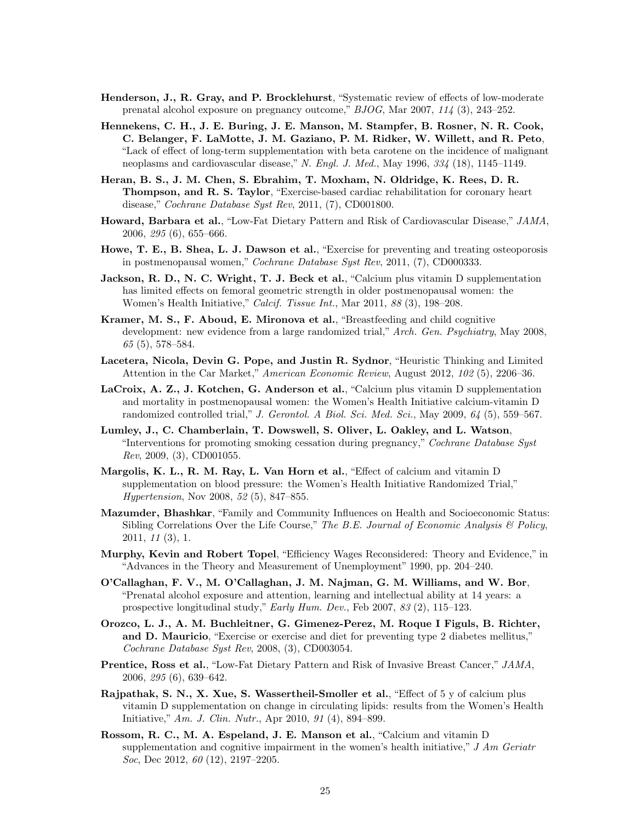- Henderson, J., R. Gray, and P. Brocklehurst, "Systematic review of effects of low-moderate prenatal alcohol exposure on pregnancy outcome," BJOG, Mar 2007, 114 (3), 243–252.
- Hennekens, C. H., J. E. Buring, J. E. Manson, M. Stampfer, B. Rosner, N. R. Cook, C. Belanger, F. LaMotte, J. M. Gaziano, P. M. Ridker, W. Willett, and R. Peto, "Lack of effect of long-term supplementation with beta carotene on the incidence of malignant neoplasms and cardiovascular disease," N. Engl. J. Med., May 1996,  $334$  (18), 1145–1149.
- Heran, B. S., J. M. Chen, S. Ebrahim, T. Moxham, N. Oldridge, K. Rees, D. R. Thompson, and R. S. Taylor, "Exercise-based cardiac rehabilitation for coronary heart disease," Cochrane Database Syst Rev, 2011, (7), CD001800.
- Howard, Barbara et al., "Low-Fat Dietary Pattern and Risk of Cardiovascular Disease," JAMA, 2006, 295 (6), 655–666.
- Howe, T. E., B. Shea, L. J. Dawson et al., "Exercise for preventing and treating osteoporosis in postmenopausal women," Cochrane Database Syst Rev, 2011, (7), CD000333.
- Jackson, R. D., N. C. Wright, T. J. Beck et al., "Calcium plus vitamin D supplementation has limited effects on femoral geometric strength in older postmenopausal women: the Women's Health Initiative," Calcif. Tissue Int., Mar 2011, 88 (3), 198–208.
- Kramer, M. S., F. Aboud, E. Mironova et al., "Breastfeeding and child cognitive development: new evidence from a large randomized trial," Arch. Gen. Psychiatry, May 2008,  $65(5)$ , 578–584.
- Lacetera, Nicola, Devin G. Pope, and Justin R. Sydnor, "Heuristic Thinking and Limited Attention in the Car Market," American Economic Review, August 2012, 102 (5), 2206–36.
- LaCroix, A. Z., J. Kotchen, G. Anderson et al., "Calcium plus vitamin D supplementation and mortality in postmenopausal women: the Women's Health Initiative calcium-vitamin D randomized controlled trial," J. Gerontol. A Biol. Sci. Med. Sci., May 2009,  $64$  (5), 559–567.
- Lumley, J., C. Chamberlain, T. Dowswell, S. Oliver, L. Oakley, and L. Watson, "Interventions for promoting smoking cessation during pregnancy," Cochrane Database Syst Rev, 2009, (3), CD001055.
- Margolis, K. L., R. M. Ray, L. Van Horn et al., "Effect of calcium and vitamin D supplementation on blood pressure: the Women's Health Initiative Randomized Trial," Hypertension, Nov 2008, 52 (5), 847–855.
- Mazumder, Bhashkar, "Family and Community Influences on Health and Socioeconomic Status: Sibling Correlations Over the Life Course," The B.E. Journal of Economic Analysis  $\mathcal B$  Policy, 2011, 11 (3), 1.
- Murphy, Kevin and Robert Topel, "Efficiency Wages Reconsidered: Theory and Evidence," in "Advances in the Theory and Measurement of Unemployment" 1990, pp. 204–240.
- O'Callaghan, F. V., M. O'Callaghan, J. M. Najman, G. M. Williams, and W. Bor, "Prenatal alcohol exposure and attention, learning and intellectual ability at 14 years: a prospective longitudinal study," Early Hum. Dev., Feb 2007, 83 (2), 115–123.
- Orozco, L. J., A. M. Buchleitner, G. Gimenez-Perez, M. Roque I Figuls, B. Richter, and D. Mauricio, "Exercise or exercise and diet for preventing type 2 diabetes mellitus," Cochrane Database Syst Rev, 2008, (3), CD003054.
- Prentice, Ross et al., "Low-Fat Dietary Pattern and Risk of Invasive Breast Cancer," JAMA, 2006, 295 (6), 639–642.
- Rajpathak, S. N., X. Xue, S. Wassertheil-Smoller et al., "Effect of 5 y of calcium plus vitamin D supplementation on change in circulating lipids: results from the Women's Health Initiative," Am. J. Clin. Nutr., Apr 2010, 91 (4), 894–899.
- Rossom, R. C., M. A. Espeland, J. E. Manson et al., "Calcium and vitamin D supplementation and cognitive impairment in the women's health initiative,"  $J Am Geriatr$ Soc, Dec 2012, 60 (12), 2197-2205.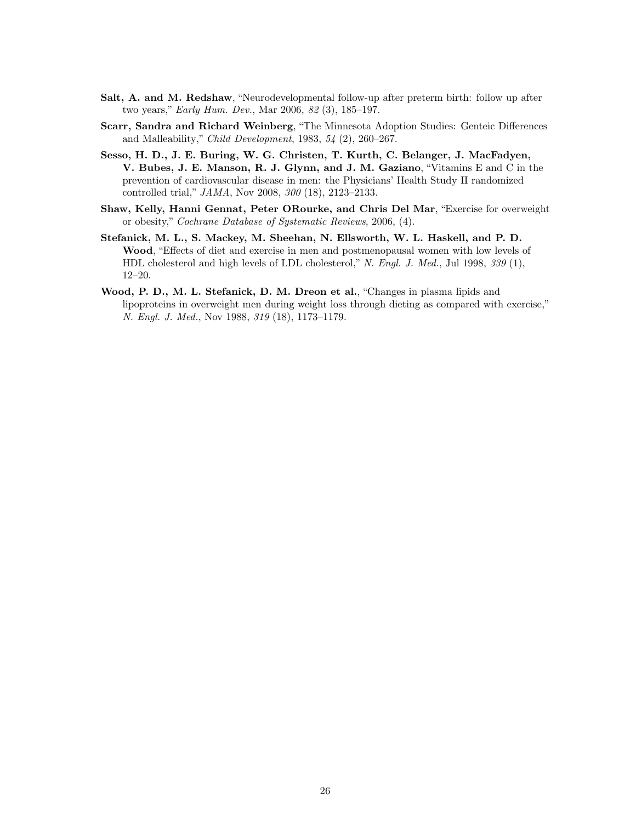- Salt, A. and M. Redshaw, "Neurodevelopmental follow-up after preterm birth: follow up after two years," Early Hum. Dev., Mar 2006, 82 (3), 185–197.
- Scarr, Sandra and Richard Weinberg, "The Minnesota Adoption Studies: Genteic Differences and Malleability," Child Development, 1983, 54 (2), 260–267.
- Sesso, H. D., J. E. Buring, W. G. Christen, T. Kurth, C. Belanger, J. MacFadyen, V. Bubes, J. E. Manson, R. J. Glynn, and J. M. Gaziano, "Vitamins E and C in the prevention of cardiovascular disease in men: the Physicians' Health Study II randomized controlled trial," JAMA, Nov 2008, 300 (18), 2123–2133.
- Shaw, Kelly, Hanni Gennat, Peter ORourke, and Chris Del Mar, "Exercise for overweight or obesity," Cochrane Database of Systematic Reviews, 2006, (4).
- Stefanick, M. L., S. Mackey, M. Sheehan, N. Ellsworth, W. L. Haskell, and P. D. Wood, "Effects of diet and exercise in men and postmenopausal women with low levels of HDL cholesterol and high levels of LDL cholesterol," N. Engl. J. Med., Jul 1998, 339 (1), 12–20.
- Wood, P. D., M. L. Stefanick, D. M. Dreon et al., "Changes in plasma lipids and lipoproteins in overweight men during weight loss through dieting as compared with exercise," N. Engl. J. Med., Nov 1988, 319 (18), 1173–1179.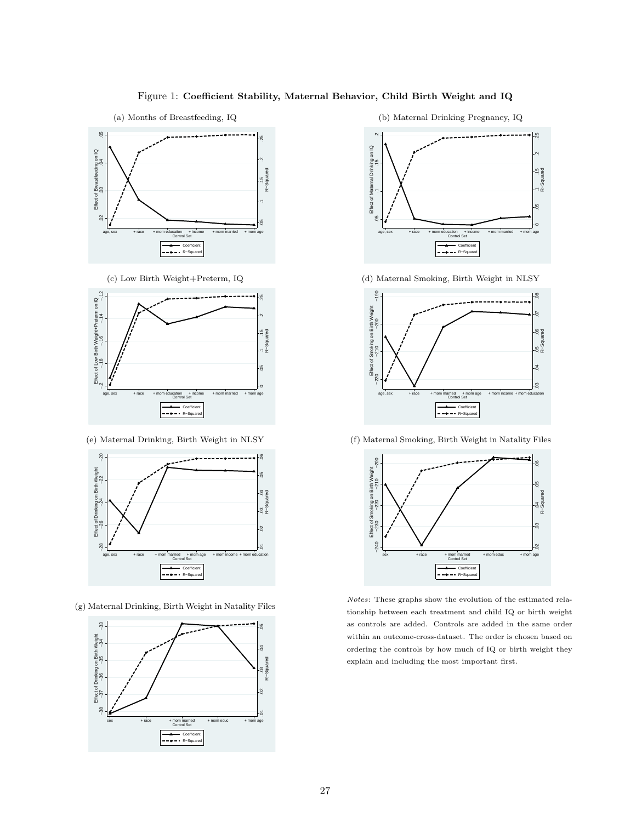### Figure 1: Coefficient Stability, Maternal Behavior, Child Birth Weight and IQ

<span id="page-27-0"></span>



(c) Low Birth Weight+Preterm, IQ



(e) Maternal Drinking, Birth Weight in NLSY



(g) Maternal Drinking, Birth Weight in Natality Files



(b) Maternal Drinking Pregnancy, IQ



(d) Maternal Smoking, Birth Weight in NLSY



(f) Maternal Smoking, Birth Weight in Natality Files



Notes: These graphs show the evolution of the estimated relationship between each treatment and child IQ or birth weight as controls are added. Controls are added in the same order within an outcome-cross-dataset. The order is chosen based on ordering the controls by how much of IQ or birth weight they explain and including the most important first.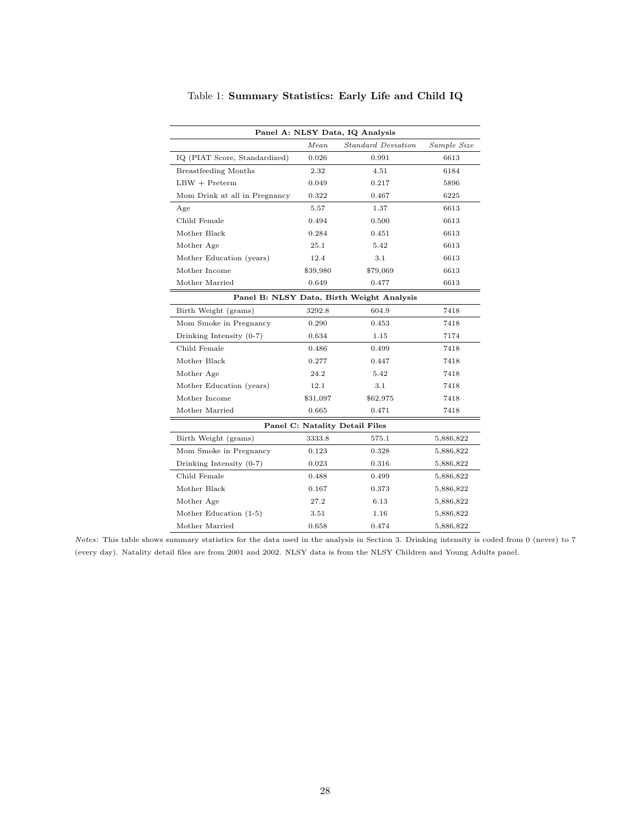<span id="page-28-0"></span>

| Panel A: NLSY Data, IQ Analysis           |          |                           |             |  |  |
|-------------------------------------------|----------|---------------------------|-------------|--|--|
|                                           | Mean     | <b>Standard Deviation</b> | Sample Size |  |  |
| IQ (PIAT Score, Standardized)             | 0.026    | 0.991                     | 6613        |  |  |
| Breastfeeding Months                      | 2.32     | 4.51                      | 6184        |  |  |
| $LBW + Preterm$                           | 0.049    | 0.217                     | 5896        |  |  |
| Mom Drink at all in Pregnancy             | 0.322    | 0.467                     | 6225        |  |  |
| Age                                       | 5.57     | 1.37                      | 6613        |  |  |
| Child Female                              | 0.494    | 0.500                     | 6613        |  |  |
| Mother Black                              | 0.284    | 0.451                     | 6613        |  |  |
| Mother Age                                | 25.1     | 5.42                      | 6613        |  |  |
| Mother Education (years)                  | 12.4     | 3.1                       | 6613        |  |  |
| Mother Income                             | \$39,980 | \$79,069                  | 6613        |  |  |
| Mother Married                            | 0.649    | 0.477                     | 6613        |  |  |
| Panel B: NLSY Data, Birth Weight Analysis |          |                           |             |  |  |
| Birth Weight (grams)                      | 3292.8   | 604.9                     | 7418        |  |  |
| Mom Smoke in Pregnancy                    | 0.290    | 0.453                     | 7418        |  |  |
| Drinking Intensity $(0-7)$                | 0.634    | 1.15                      | 7174        |  |  |
| Child Female                              | 0.486    | 0.499                     | 7418        |  |  |
| Mother Black                              | 0.277    | 0.447                     | 7418        |  |  |
| Mother Age                                | 24.2     | 5.42                      | 7418        |  |  |
| Mother Education (years)                  | 12.1     | 3.1                       | 7418        |  |  |
| Mother Income                             | \$31,097 | \$62,975                  | 7418        |  |  |
| Mother Married                            | 0.665    | 0.471                     | 7418        |  |  |
| Panel C: Natality Detail Files            |          |                           |             |  |  |
| Birth Weight (grams)                      | 3333.8   | 575.1                     | 5,886,822   |  |  |
| Mom Smoke in Pregnancy                    | 0.123    | 0.328                     | 5,886,822   |  |  |
| Drinking Intensity $(0-7)$                | 0.023    | 0.316                     | 5,886,822   |  |  |
| Child Female                              | 0.488    | 0.499                     | 5,886,822   |  |  |
| Mother Black                              | 0.167    | 0.373                     | 5,886,822   |  |  |
| Mother Age                                | 27.2     | 6.13                      | 5,886,822   |  |  |
| Mother Education (1-5)                    | 3.51     | 1.16                      | 5,886,822   |  |  |
| Mother Married                            | 0.658    | 0.474                     | 5,886,822   |  |  |

Table 1: Summary Statistics: Early Life and Child IQ

Notes: This table shows summary statistics for the data used in the analysis in Section 3. Drinking intensity is coded from 0 (never) to 7 (every day). Natality detail files are from 2001 and 2002. NLSY data is from the NLSY Children and Young Adults panel.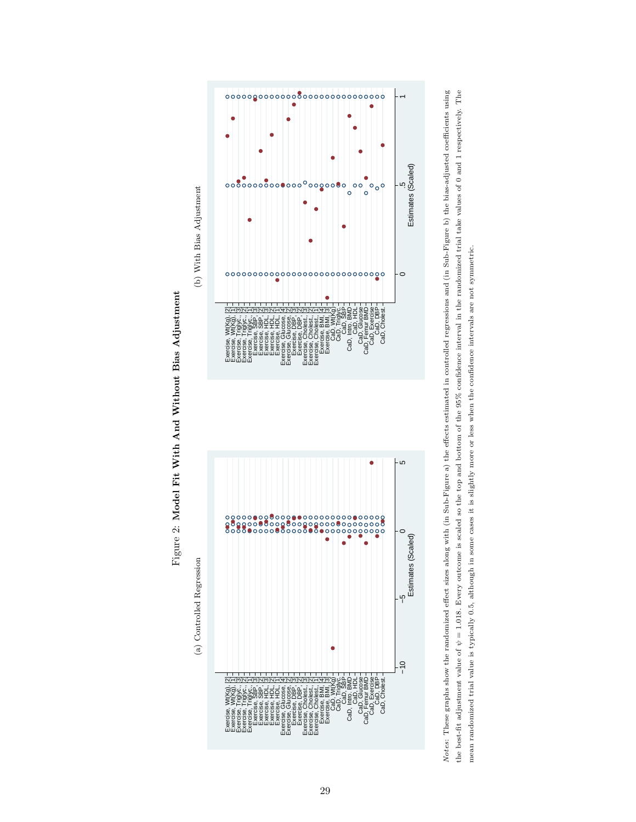<span id="page-29-0"></span>



Notes: These graphs show the randomized effect sizes along with (in Sub-Figure a) the effects estimated in controlled regressions and (in Sub-Figure b) the bias-adjusted coefficients using the best-fit adjustment value of  $\psi = 1.018$ . Every outcome is scaled so the top and bottom of the 95% confidence interval in the randomized trial take values of 0 and 1 respectively. The Notes: These graphs show the randomized effect sizes along with (in Sub-Figure a) the effects estimated in controlled regressions and (in Sub-Figure b) the bias-adjusted coefficients using the best-fit adjustment value of  $\psi = 1.018$ . Every outcome is scaled so the top and bottom of the 95% confidence interval in the randomized trial take values of 0 and 1 respectively. The mean randomized trial value is typically 0.5, although in some cases it is slightly more or less when the confidence intervals are not symmetric. mean randomized trial value is typically 0.5, although in some cases it is slightly more or less when the confidence intervals are not symmetric.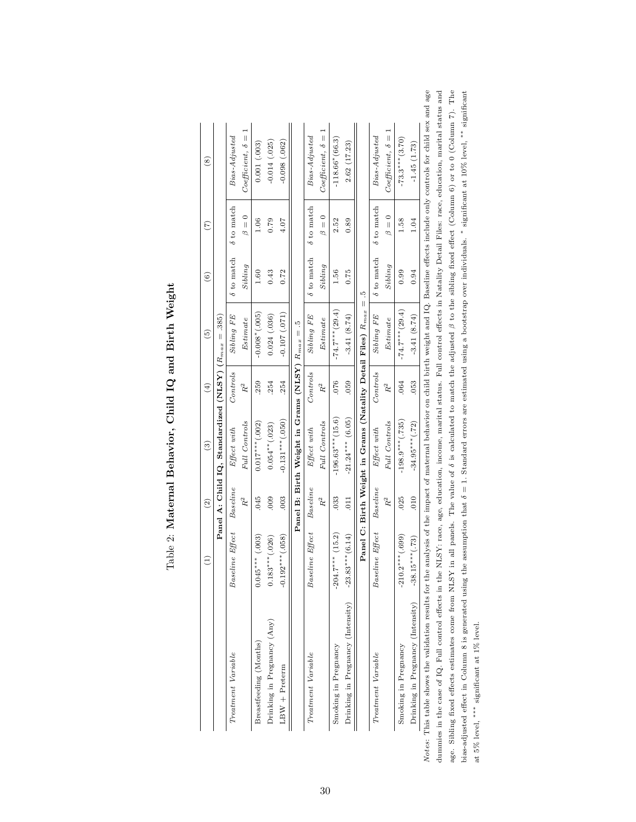<span id="page-30-0"></span>

|                                                                                                                                                                                                        | $\widehat{\Xi}$       | $\left( 2\right)$              | $\widehat{\mathbf{e}}$                                           | $\left( 4\right)$           | $\widehat{5}$        | $\widehat{\circ}$ | $\widehat{C}$     | $\overset{\circ}{(8)}$    |
|--------------------------------------------------------------------------------------------------------------------------------------------------------------------------------------------------------|-----------------------|--------------------------------|------------------------------------------------------------------|-----------------------------|----------------------|-------------------|-------------------|---------------------------|
|                                                                                                                                                                                                        |                       |                                | Panel A: Child IQ, Standardized (NLSY) $(R_{max} = .385)$        |                             |                      |                   |                   |                           |
| Treatment Variable                                                                                                                                                                                     | Effect<br>Baseline i  | Baseline                       | Effect with                                                      | Controls                    | Sibling FE           | $\delta$ to match | $\delta$ to match | $Bias\text{-}Adjusted$    |
|                                                                                                                                                                                                        |                       | $R^2$                          | Full Controls                                                    | $\ensuremath{R^{2}}\xspace$ | Estimate             | Sibling           | $\beta = 0$       | $Coefficient, \delta =$   |
| Breastfeeding (Months)                                                                                                                                                                                 | .003)<br>$0.045***$   | .045                           | $0.017***$ (.002)                                                | .259                        | $-0.008*(.005)$      | 1.60              | 1.06              | 0.001(0.003)              |
| Drinking in Pregnancy (Any)                                                                                                                                                                            | .026)<br>$0.183***$   | $000$ .                        | $0.054**$ (.023)                                                 | .254                        | 0.024(.036)          | 0.43              | 0.79              | $-0.014(025)$             |
| $LBW + Preterm$                                                                                                                                                                                        | .058<br>$-0.192***$   | .003                           | $-0.131***(.050)$                                                | .254                        | $-0.107(071)$        | 0.72              | 4.07              | $-0.098(.062)$            |
|                                                                                                                                                                                                        |                       |                                | Panel B: Birth Weight in Grams (NLSY) $R_{max} = .5$             |                             |                      |                   |                   |                           |
| Treatment Variable                                                                                                                                                                                     | Effect<br>Baseline    | Baseline                       | Effect with                                                      | Controls                    | $Sibling$ $FE$       | $\delta$ to match | $\delta$ to match | $Bias\text{-}Adjusted$    |
|                                                                                                                                                                                                        |                       | $R^2$                          | Full Controls                                                    | $R^2$                       | Estimate             | Sibling           | $\beta = 0$       | $Coefficient, \delta =$   |
| Smoking in Pregnancy                                                                                                                                                                                   | (15.2)<br>$-204.7***$ | .033                           | $-196.63***$ (15.6)                                              | .076                        | $-74.7$ *** $(29.4)$ | 1.56              | 2.52              | $-118.66*(66.3)$          |
| Drinking in Pregnancy (Intensity)                                                                                                                                                                      | $-23.83***$ (6.14)    | $\overline{011}$               | $-21.24***$ (6.05)                                               | 059                         | $-3.41(8.74)$        | 0.75              | 0.89              | 2.62(17.23)               |
|                                                                                                                                                                                                        |                       |                                | Panel C: Birth Weight in Grams (Natality Detail Files) $R_{max}$ |                             | $\parallel$          | ŗ.                |                   |                           |
| Treatment Variable                                                                                                                                                                                     | Baseline Effect       | $\label{eq:baseline} Baseline$ | Effect with                                                      | Controls                    | $Sibling$ $FE$       | $\delta$ to match | $\delta$ to match | Bias-Adjusted             |
|                                                                                                                                                                                                        |                       | $R^2$                          | Full Controls                                                    | $\ensuremath{R^{2}}\xspace$ | $Estimate$           | Sibling           | $\beta = 0$       | $Coefficient, \delta = 1$ |
| Smoking in Pregnancy                                                                                                                                                                                   | .699<br>$-210.2***$   | 025                            | $-198.9***$ (.735)                                               | .064                        | $-74.7***$ (29.4)    | 0.99              | 1.58              | $-73.3***$ (3.70)         |
| Drinking in Pregnancy (Intensity)                                                                                                                                                                      | $-38.15***$ (.73)     | 010                            | $-34.95***$ (.72)                                                | .053                        | $-3.41(8.74)$        | 0.94              | 1.04              | $-1.45(1.73)$             |
| Notes: This table shows the validation results for the analysis of the impact of maternal behavior on child birth weight and IQ. Baseline effects include only controls for child sex and age          |                       |                                |                                                                  |                             |                      |                   |                   |                           |
| dummies in the case of IQ. Full control effects in the NLSY: race, age, education, income, marital status. Full control effects in Natality Detail Files: race, education, marital status and          |                       |                                |                                                                  |                             |                      |                   |                   |                           |
| age. Sibling fixed effects estimates come from NLSY in all panels. The value of $\delta$ is calculated to match the adjusted $\beta$ to the sibling fixed effect (Column 6) or to 0 (Column 7). The    |                       |                                |                                                                  |                             |                      |                   |                   |                           |
| bias-adjusted effect in Column 8 is generated using the assumption that $\delta = 1$ . Standard errors are estimated using a bootstrap over individuals. $*$ significant at 10% level, $*$ significant |                       |                                |                                                                  |                             |                      |                   |                   |                           |
| at 5% level, *** significant at 1% level.                                                                                                                                                              |                       |                                |                                                                  |                             |                      |                   |                   |                           |

# Table 2: Maternal Behavior, Child IQ and Birth Weight Table 2: Maternal Behavior, Child IQ and Birth Weight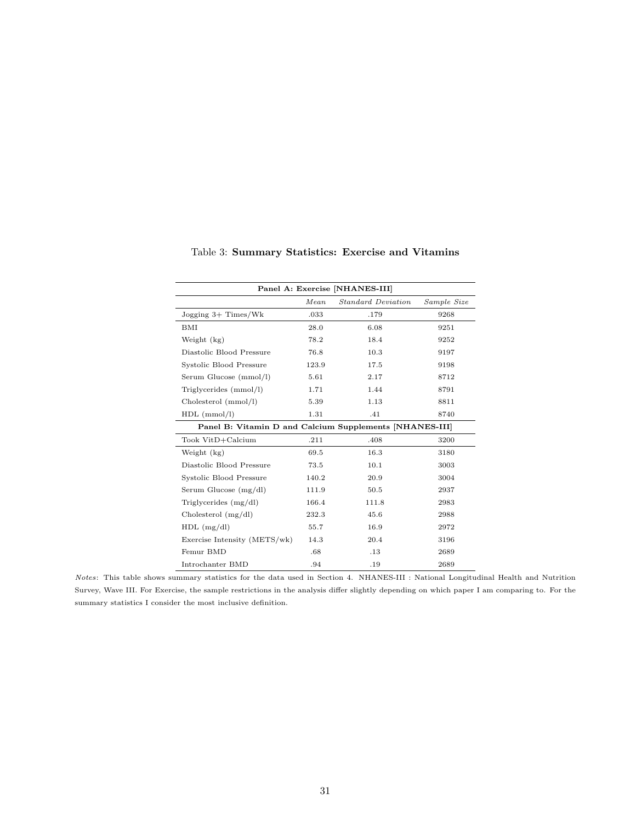<span id="page-31-0"></span>

| Panel A: Exercise [NHANES-III]                          |       |                    |             |  |  |
|---------------------------------------------------------|-------|--------------------|-------------|--|--|
|                                                         | Mean  | Standard Deviation | Sample Size |  |  |
| Jogging 3+ Times/Wk                                     | .033  | .179               | 9268        |  |  |
| BMI                                                     | 28.0  | 6.08               | 9251        |  |  |
| Weight (kg)                                             | 78.2  | 18.4               | 9252        |  |  |
| Diastolic Blood Pressure                                | 76.8  | 10.3               | 9197        |  |  |
| Systolic Blood Pressure                                 | 123.9 | 17.5               | 9198        |  |  |
| Serum Glucose (mmol/l)                                  | 5.61  | 2.17               | 8712        |  |  |
| Triglycerides (mmol/l)                                  | 1.71  | 1.44               | 8791        |  |  |
| Cholesterol (mmol/l)                                    | 5.39  | 1.13               | 8811        |  |  |
| $HDL$ (mmol/l)                                          | 1.31  | .41                | 8740        |  |  |
| Panel B: Vitamin D and Calcium Supplements [NHANES-III] |       |                    |             |  |  |
| Took VitD+Calcium                                       | .211  | .408               | 3200        |  |  |
| Weight (kg)                                             | 69.5  | 16.3               | 3180        |  |  |
| Diastolic Blood Pressure                                | 73.5  | 10.1               | 3003        |  |  |
| Systolic Blood Pressure                                 | 140.2 | 20.9               | 3004        |  |  |
| Serum Glucose $(mg/dl)$                                 | 111.9 | 50.5               | 2937        |  |  |
| Triglycerides $(mg/dl)$                                 | 166.4 | 111.8              | 2983        |  |  |
| Cholesterol $(mg/dl)$                                   | 232.3 | 45.6               | 2988        |  |  |
| $HDL$ (mg/dl)                                           | 55.7  | 16.9               | 2972        |  |  |
| Exercise Intensity (METS/wk)                            | 14.3  | 20.4               | 3196        |  |  |
| Femur BMD                                               | .68   | .13                | 2689        |  |  |
| Introchanter BMD                                        | .94   | .19                | 2689        |  |  |

Table 3: Summary Statistics: Exercise and Vitamins

Notes: This table shows summary statistics for the data used in Section 4. NHANES-III : National Longitudinal Health and Nutrition Survey, Wave III. For Exercise, the sample restrictions in the analysis differ slightly depending on which paper I am comparing to. For the summary statistics I consider the most inclusive definition.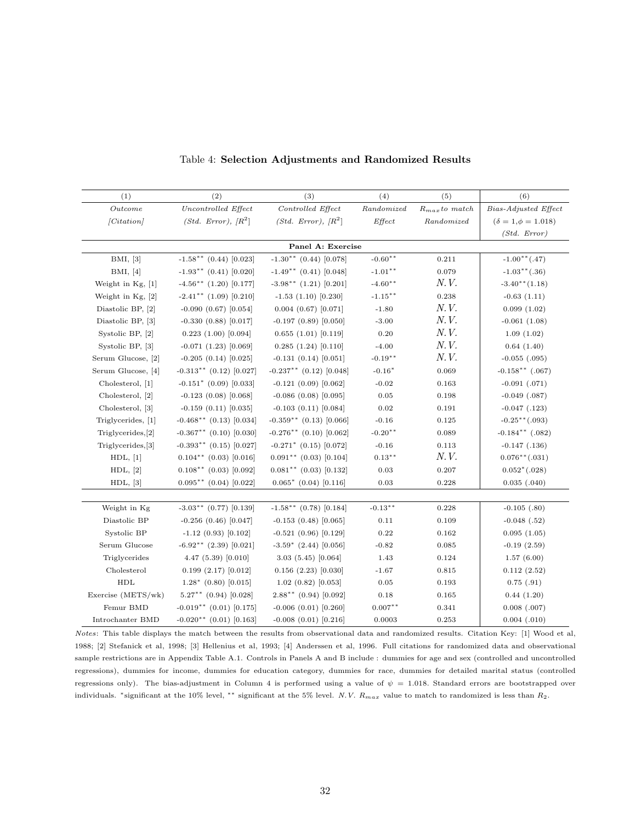<span id="page-32-0"></span>

| (1)                | (2)                       | (3)                         | (4)        | (5)                | (6)                          |
|--------------------|---------------------------|-----------------------------|------------|--------------------|------------------------------|
| Outcome            | Uncontrolled Effect       | Controlled Effect           | Randomized | $R_{max}$ to match | Bias-Adjusted Effect         |
| Citation           | $(Std. Error), R^2$       | $(Std. Error), R^2$         | Effect     | Randomized         | $(\delta = 1, \phi = 1.018)$ |
|                    |                           |                             |            |                    | (Std. Error)                 |
|                    |                           | Panel A: Exercise           |            |                    |                              |
| BMI, [3]           | $-1.58***$ (0.44) [0.023] | $-1.30**$ (0.44) [0.078]    | $-0.60**$  | 0.211              | $-1.00**(.47)$               |
| BMI, [4]           | $-1.93**$ (0.41) [0.020]  | $-1.49**$ (0.41) [0.048]    | $-1.01**$  | 0.079              | $-1.03**(.36)$               |
| Weight in Kg, [1]  | $-4.56***$ (1.20) [0.177] | $-3.98**$ (1.21) [0.201]    | $-4.60**$  | N.V.               | $-3.40**$ (1.18)             |
| Weight in Kg, [2]  | $-2.41$ ** (1.09) [0.210] | $-1.53(1.10)[0.230]$        | $-1.15***$ | 0.238              | $-0.63(1.11)$                |
| Diastolic BP, [2]  | $-0.090(0.67)[0.054]$     | $0.004$ $(0.67)$ $[0.071]$  | $-1.80$    | N. V.              | 0.099(1.02)                  |
| Diastolic BP, [3]  | $-0.330(0.88)[0.017]$     | $-0.197(0.89)[0.050]$       | $-3.00$    | <i>N.V.</i>        | $-0.061(1.08)$               |
| Systolic BP, [2]   | 0.223(1.00)[0.094]        | 0.655(1.01)[0.119]          | 0.20       | N. V.              | 1.09(1.02)                   |
| Systolic BP, [3]   | $-0.071(1.23)[0.069]$     | 0.285(1.24)[0.110]          | $-4.00$    | <i>N.V.</i>        | 0.64(1.40)                   |
| Serum Glucose, [2] | $-0.205(0.14)[0.025]$     | $-0.131(0.14)[0.051]$       | $-0.19**$  | <i>N.V.</i>        | $-0.055$ $(.095)$            |
| Serum Glucose, [4] | $-0.313**$ (0.12) [0.027] | $-0.237***$ (0.12) [0.048]  | $-0.16*$   | 0.069              | $-0.158**$ (.067)            |
| Cholesterol, [1]   | $-0.151$ * (0.09) [0.033] | $-0.121(0.09)[0.062]$       | $-0.02$    | 0.163              | $-0.091$ $(.071)$            |
| Cholesterol, [2]   | $-0.123(0.08)[0.068]$     | $-0.086(0.08)[0.095]$       | $\rm 0.05$ | 0.198              | $-0.049$ $(.087)$            |
| Cholesterol, [3]   | $-0.159(0.11)[0.035]$     | $-0.103(0.11)[0.084]$       | $\rm 0.02$ | 0.191              | $-0.047$ $(.123)$            |
| Triglycerides, [1] | $-0.468**$ (0.13) [0.034] | $-0.359**$ (0.13) [0.066]   | $-0.16$    | 0.125              | $-0.25**(.093)$              |
| Triglycerides, [2] | $-0.367**$ (0.10) [0.030] | $-0.276**$ (0.10) [0.062]   | $-0.20**$  | 0.089              | $-0.184***$ $(.082)$         |
| Triglycerides, [3] | $-0.393**$ (0.15) [0.027] | $-0.271$ * (0.15) [0.072]   | $-0.16$    | 0.113              | $-0.147$ $(.136)$            |
| HDL, [1]           | $0.104**$ (0.03) [0.016]  | $0.091**$ (0.03) [0.104]    | $0.13***$  | <i>N.V.</i>        | $0.076**(.031)$              |
| HDL, [2]           | $0.108**$ (0.03) [0.092]  | $0.081**$ (0.03) [0.132]    | $\rm 0.03$ | 0.207              | $0.052^*(.028)$              |
| HDL, [3]           | $0.095**$ (0.04) [0.022]  | $0.065*$ (0.04) [0.116]     | $\rm 0.03$ | 0.228              | $0.035$ $(.040)$             |
|                    |                           |                             |            |                    |                              |
| Weight in Kg       | $-3.03**$ (0.77) [0.139]  | $-1.58$ ** (0.78) [0.184]   | $-0.13***$ | 0.228              | $-0.105$ $(.80)$             |
| Diastolic BP       | $-0.256(0.46)[0.047]$     | $-0.153(0.48)[0.065]$       | 0.11       | 0.109              | $-0.048$ $(.52)$             |
| Systolic BP        | $-1.12(0.93)[0.102]$      | $-0.521(0.96)[0.129]$       | 0.22       | 0.162              | 0.095(1.05)                  |
| Serum Glucose      | $-6.92**$ (2.39) [0.021]  | $-3.59$ * (2.44) [0.056]    | $-0.82$    | 0.085              | $-0.19(2.59)$                |
| Triglycerides      | 4.47(5.39)[0.010]         | 3.03(5.45)[0.064]           | 1.43       | 0.124              | 1.57(6.00)                   |
| Cholesterol        | 0.199(2.17)[0.012]        | $0.156$ $(2.23)$ $[0.030]$  | $-1.67$    | 0.815              | 0.112(2.52)                  |
| <b>HDL</b>         | $1.28^*$ (0.80) [0.015]   | 1.02(0.82)[0.053]           | 0.05       | 0.193              | $0.75$ $(.91)$               |
| Exercise (METS/wk) | $5.27***$ (0.94) [0.028]  | $2.88**$ (0.94) [0.092]     | 0.18       | 0.165              | 0.44(1.20)                   |
| Femur BMD          | $-0.019**$ (0.01) [0.175] | $-0.006$ $(0.01)$ $[0.260]$ | $0.007***$ | 0.341              | $0.008$ $(.007)$             |
| Introchanter BMD   | $-0.020**$ (0.01) [0.163] | $-0.008$ $(0.01)$ $[0.216]$ | 0.0003     | 0.253              | $0.004$ $(.010)$             |

Table 4: Selection Adjustments and Randomized Results

Notes: This table displays the match between the results from observational data and randomized results. Citation Key: [1] Wood et al, 1988; [2] Stefanick et al, 1998; [3] Hellenius et al, 1993; [4] Anderssen et al, 1996. Full citations for randomized data and observational sample restrictions are in Appendix Table A.1. Controls in Panels A and B include : dummies for age and sex (controlled and uncontrolled regressions), dummies for income, dummies for education category, dummies for race, dummies for detailed marital status (controlled regressions only). The bias-adjustment in Column 4 is performed using a value of  $\psi = 1.018$ . Standard errors are bootstrapped over individuals. \*significant at the 10% level, \*\* significant at the 5% level. N.V.  $R_{max}$  value to match to randomized is less than  $R_2$ .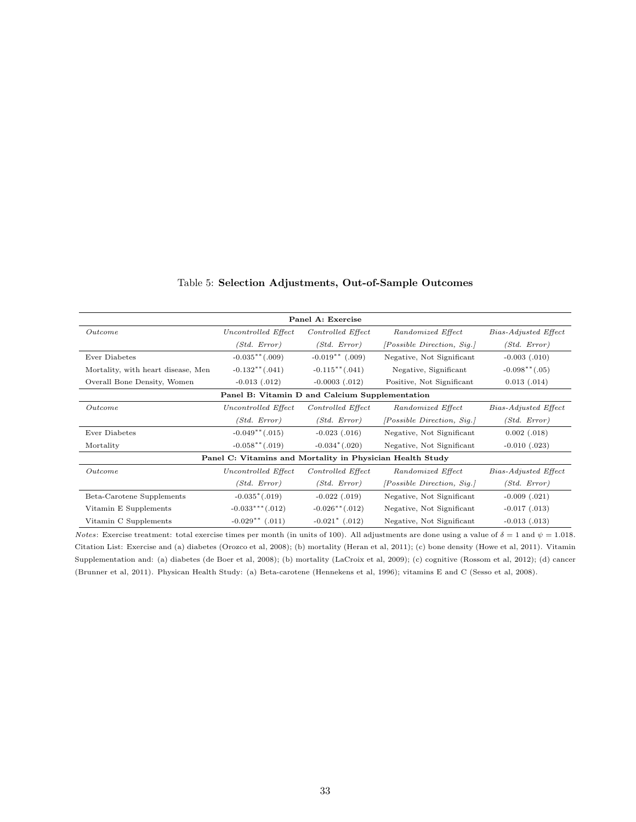<span id="page-33-0"></span>

| Panel A: Exercise                                         |                                                |                                 |                                   |                      |
|-----------------------------------------------------------|------------------------------------------------|---------------------------------|-----------------------------------|----------------------|
| Outcome                                                   | Uncontrolled Effect                            | Controlled Effect               | Randomized Effect                 | Bias-Adjusted Effect |
|                                                           | (Std. Error)                                   | (Std. Error)                    | <i>[Possible Direction, Sig.]</i> | (Std. Error)         |
| Ever Diabetes                                             | $-0.035**(.009)$                               | $-0.019**$ (.009)               | Negative, Not Significant         | $-0.003$ $(.010)$    |
| Mortality, with heart disease, Men                        | $-0.132**(.041)$                               | $-0.115**(.041)$                | Negative, Significant             | $-0.098**(.05)$      |
| Overall Bone Density, Women                               | $-0.013$ $(.012)$                              | $-0.0003$ $(.012)$              | Positive, Not Significant         | $0.013$ $(.014)$     |
|                                                           | Panel B: Vitamin D and Calcium Supplementation |                                 |                                   |                      |
| Outcome                                                   | Uncontrolled Effect                            | Controlled Effect               | Randomized Effect                 | Bias-Adjusted Effect |
|                                                           | (Std. Error)                                   | (Std. Error)                    | <i>[Possible Direction, Sig.]</i> | (Std. Error)         |
| Ever Diabetes                                             | $-0.049**(.015)$                               | $-0.023$ $(.016)$               | Negative, Not Significant         | $0.002$ $(.018)$     |
| Mortality                                                 | $-0.058**(.019)$                               | $-0.034*(.020)$                 | Negative, Not Significant         | $-0.010$ $(.023)$    |
| Panel C: Vitamins and Mortality in Physician Health Study |                                                |                                 |                                   |                      |
| Outcome                                                   | Uncontrolled Effect                            | Controlled Effect               | Randomized Effect                 | Bias-Adjusted Effect |
|                                                           | (Std. Error)                                   | (Std. Error)                    | <i>[Possible Direction, Sig.]</i> | (Std. Error)         |
| Beta-Carotene Supplements                                 | $-0.035^*(.019)$                               | $-0.022$ $(.019)$               | Negative, Not Significant         | $-0.009$ $(.021)$    |
| Vitamin E Supplements                                     | $-0.033***$ (.012)                             | $-0.026$ <sup>**</sup> $(.012)$ | Negative, Not Significant         | $-0.017$ $(.013)$    |
| Vitamin C Supplements                                     | $-0.029**$ (.011)                              | $-0.021$ * (.012)               | Negative, Not Significant         | $-0.013$ $(.013)$    |

# Table 5: Selection Adjustments, Out-of-Sample Outcomes

*Notes*: Exercise treatment: total exercise times per month (in units of 100). All adjustments are done using a value of  $\delta = 1$  and  $\psi = 1.018$ . Citation List: Exercise and (a) diabetes (Orozco et al, 2008); (b) mortality (Heran et al, 2011); (c) bone density (Howe et al, 2011). Vitamin Supplementation and: (a) diabetes (de Boer et al, 2008); (b) mortality (LaCroix et al, 2009); (c) cognitive (Rossom et al, 2012); (d) cancer (Brunner et al, 2011). Physican Health Study: (a) Beta-carotene (Hennekens et al, 1996); vitamins E and C (Sesso et al, 2008).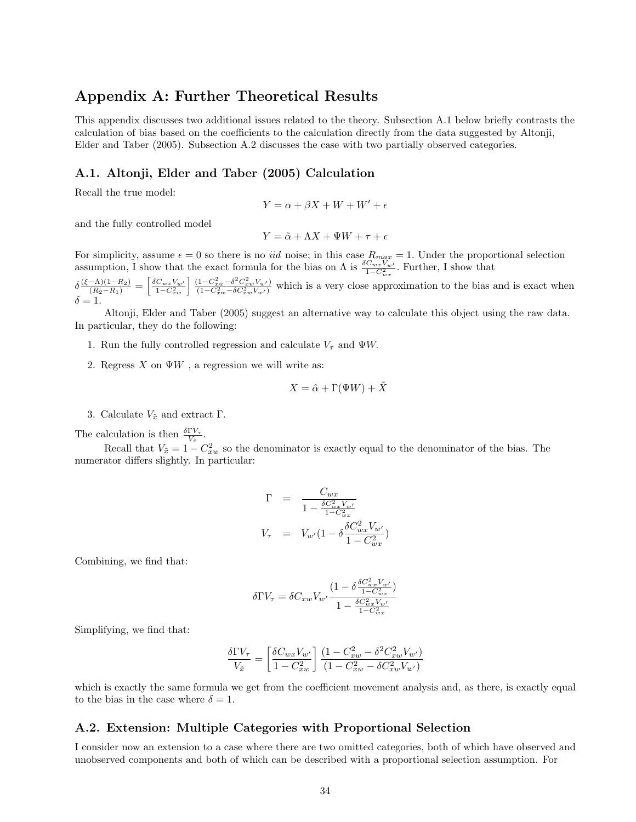# Appendix A: Further Theoretical Results

This appendix discusses two additional issues related to the theory. Subsection A.1 below briefly contrasts the calculation of bias based on the coefficients to the calculation directly from the data suggested by Altonji, Elder and Taber (2005). Subsection A.2 discusses the case with two partially observed categories.

# A.1. Altonji, Elder and Taber (2005) Calculation

Recall the true model:

$$
Y = \alpha + \beta X + W + W' + \epsilon
$$

and the fully controlled model

$$
Y = \tilde{\alpha} + \Lambda X + \Psi W + \tau + \epsilon
$$

For simplicity, assume  $\epsilon = 0$  so there is no *iid* noise; in this case  $R_{max} = 1$ . Under the proportional selection assumption, I show that the exact formula for the bias on  $\Lambda$  is  $\frac{\delta C_{wx}V_{w'}}{1-C_{wx}^2}$ . Further, I show that

 $\delta \frac{(\xi - \Lambda)(1 - R_2)}{(R_2 - R_1)} = \left[ \frac{\delta C_{wx} V_{w'}}{1 - C_{xw}^2} \right] \frac{(1 - C_{xw}^2 - \delta^2 C_{xw}^2 V_{w'})}{(1 - C_{xw}^2 - \delta C_{xw}^2 V_{w'})}$  which is a very close approximation to the bias and is exact when  $\delta = 1.$ 

Altonji, Elder and Taber (2005) suggest an alternative way to calculate this object using the raw data. In particular, they do the following:

- 1. Run the fully controlled regression and calculate  $V_{\tau}$  and  $\Psi W$ .
- 2. Regress  $X$  on  $\Psi W$ , a regression we will write as:

$$
X = \hat{\alpha} + \Gamma(\Psi W) + \tilde{X}
$$

3. Calculate  $V_{\tilde{x}}$  and extract Γ.

The calculation is then  $\frac{\delta \Gamma V_{\tau}}{V_{\tilde{x}}}$ .

Recall that  $V_{\tilde{x}} = 1 - C_{xw}^2$  so the denominator is exactly equal to the denominator of the bias. The numerator differs slightly. In particular:

$$
\Gamma = \frac{C_{wx}}{1 - \frac{\delta C_{wx}^2 V_{w'}}{1 - C_{wx}^2}}
$$
  

$$
V_{\tau} = V_{w'} (1 - \delta \frac{\delta C_{wx}^2 V_{w'}}{1 - C_{wx}^2})
$$

Combining, we find that:

$$
\delta\Gamma V_{\tau}=\delta C_{xw}V_{w'}\frac{(1-\delta\frac{\delta C_{wx}^2V_{w'}}{1-C_{wx}^2})}{1-\frac{\delta C_{wx}^2V_{w'}}{1-C_{wx}^2}}
$$

Simplifying, we find that:

$$
\frac{\delta\Gamma V_{\tau}}{V_{\tilde{x}}}=\left[\frac{\delta C_{wx}V_{w'}}{1-C_{xw}^2}\right]\frac{(1-C_{xw}^2-\delta^2C_{xw}^2V_{w'})}{(1-C_{xw}^2-\delta C_{xw}^2V_{w'})}
$$

which is exactly the same formula we get from the coefficient movement analysis and, as there, is exactly equal to the bias in the case where  $\delta = 1$ .

# A.2. Extension: Multiple Categories with Proportional Selection

I consider now an extension to a case where there are two omitted categories, both of which have observed and unobserved components and both of which can be described with a proportional selection assumption. For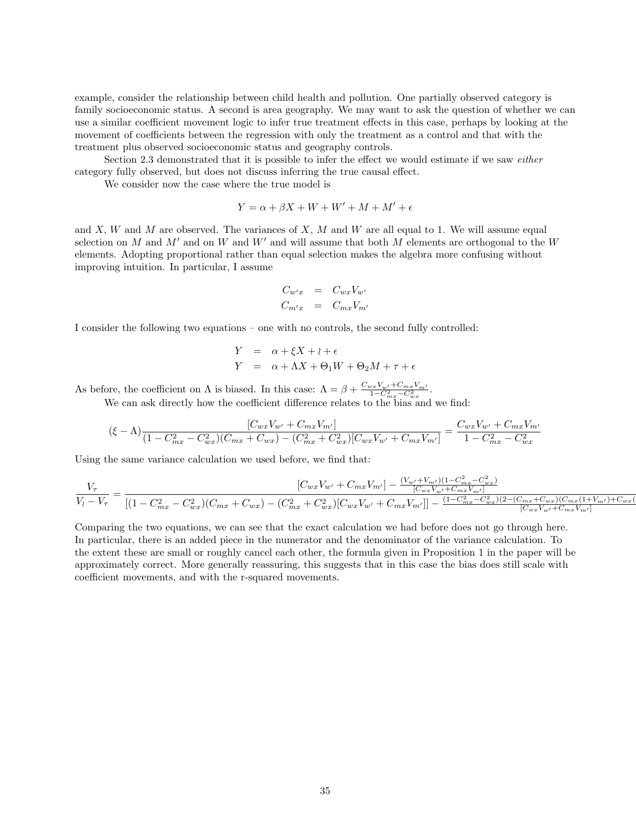example, consider the relationship between child health and pollution. One partially observed category is family socioeconomic status. A second is area geography. We may want to ask the question of whether we can use a similar coefficient movement logic to infer true treatment effects in this case, perhaps by looking at the movement of coefficients between the regression with only the treatment as a control and that with the treatment plus observed socioeconomic status and geography controls.

Section 2.3 demonstrated that it is possible to infer the effect we would estimate if we saw either category fully observed, but does not discuss inferring the true causal effect.

We consider now the case where the true model is

$$
Y = \alpha + \beta X + W + W' + M + M' + \epsilon
$$

and  $X$ ,  $W$  and  $M$  are observed. The variances of  $X$ ,  $M$  and  $W$  are all equal to 1. We will assume equal selection on M and M' and on W and W' and will assume that both M elements are orthogonal to the W elements. Adopting proportional rather than equal selection makes the algebra more confusing without improving intuition. In particular, I assume

$$
C_{w'x} = C_{wx}V_{w'}
$$
  

$$
C_{m'x} = C_{mx}V_{m'}
$$

I consider the following two equations – one with no controls, the second fully controlled:

$$
Y = \alpha + \xi X + \iota + \epsilon
$$
  
\n
$$
Y = \alpha + \Lambda X + \Theta_1 W + \Theta_2 M + \tau + \epsilon
$$

As before, the coefficient on  $\Lambda$  is biased. In this case:  $\Lambda = \beta + \frac{C_{wx}V_{w'} + C_{mx}V_{m'}}{1 - C_{mx}^2 - C_{wx}^2}$ .

We can ask directly how the coefficient difference relates to the bias and we find:

$$
(\xi - \Lambda) \frac{[C_{wx}V_{w'} + C_{mx}V_{m'}]}{(1 - C_{mx}^2 - C_{wx}^2)(C_{mx} + C_{wx}) - (C_{mx}^2 + C_{wx}^2)[C_{wx}V_{w'} + C_{mx}V_{m'}]} = \frac{C_{wx}V_{w'} + C_{mx}V_{m'}}{1 - C_{mx}^2 - C_{wx}^2}
$$

Using the same variance calculation we used before, we find that:

$$
\frac{V_{\tau}}{V_{l}-V_{\tau}} = \frac{[C_{wx}V_{w'} + C_{mx}V_{m'}] - \frac{(V_{w'} + V_{m'})(1-C_{mx}^2 - C_{wx}^2)}{[(2w_{x}V_{w'} + C_{mx}V_{m'})]}}{[(1-C_{mx}^2 - C_{wx}^2)(C_{mx} + C_{wx}) - (C_{mx}^2 + C_{wx}^2)[C_{wx}V_{w'} + C_{mx}V_{m'}]] - \frac{(1-C_{mx}^2 - C_{wx}^2)(2-(C_{mx} + C_{wx})(C_{mx}(1 + V_{m'}) + C_{wx}V_{mx'})]}{[C_{wx}V_{w'} + C_{mx}V_{m'}]}}
$$

Comparing the two equations, we can see that the exact calculation we had before does not go through here. In particular, there is an added piece in the numerator and the denominator of the variance calculation. To the extent these are small or roughly cancel each other, the formula given in Proposition 1 in the paper will be approximately correct. More generally reassuring, this suggests that in this case the bias does still scale with coefficient movements, and with the r-squared movements.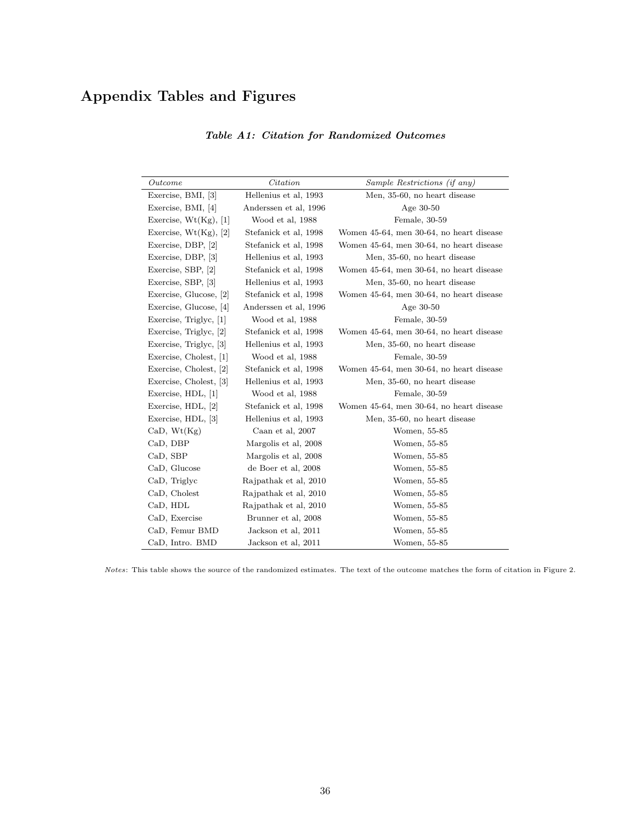# Appendix Tables and Figures

| Outcome                  | Citation              | Sample Restrictions (if any)             |
|--------------------------|-----------------------|------------------------------------------|
| Exercise, BMI, [3]       | Hellenius et al, 1993 | Men, 35-60, no heart disease             |
| Exercise, BMI, [4]       | Anderssen et al, 1996 | Age $30-50$                              |
| Exercise, $Wt(Kg)$ , [1] | Wood et al, 1988      | Female, 30-59                            |
| Exercise, $Wt(Kg)$ , [2] | Stefanick et al, 1998 | Women 45-64, men 30-64, no heart disease |
| Exercise, DBP, [2]       | Stefanick et al, 1998 | Women 45-64, men 30-64, no heart disease |
| Exercise, DBP, [3]       | Hellenius et al, 1993 | Men, 35-60, no heart disease             |
| Exercise, SBP, [2]       | Stefanick et al. 1998 | Women 45-64, men 30-64, no heart disease |
| Exercise, SBP, [3]       | Hellenius et al, 1993 | Men, 35-60, no heart disease             |
| Exercise, Glucose, 2     | Stefanick et al, 1998 | Women 45-64, men 30-64, no heart disease |
| Exercise, Glucose, [4]   | Anderssen et al, 1996 | Age $30-50$                              |
| Exercise, Triglyc, [1]   | Wood et al, 1988      | Female, 30-59                            |
| Exercise, Triglyc, [2]   | Stefanick et al, 1998 | Women 45-64, men 30-64, no heart disease |
| Exercise, Triglyc, [3]   | Hellenius et al, 1993 | Men, 35-60, no heart disease             |
| Exercise, Cholest, [1]   | Wood et al, 1988      | Female, 30-59                            |
| Exercise, Cholest, [2]   | Stefanick et al, 1998 | Women 45-64, men 30-64, no heart disease |
| Exercise, Cholest, 3     | Hellenius et al, 1993 | Men, 35-60, no heart disease             |
| Exercise, HDL, [1]       | Wood et al, 1988      | Female, 30-59                            |
| Exercise, HDL, [2]       | Stefanick et al, 1998 | Women 45-64, men 30-64, no heart disease |
| Exercise, HDL, [3]       | Hellenius et al, 1993 | Men, 35-60, no heart disease             |
| CaD, Wt(Kg)              | Caan et al, 2007      | Women, 55-85                             |
| CaD, DBP                 | Margolis et al, 2008  | Women, 55-85                             |
| CaD, SBP                 | Margolis et al, 2008  | Women, 55-85                             |
| CaD, Glucose             | de Boer et al, 2008   | Women, 55-85                             |
| CaD, Triglyc             | Rajpathak et al, 2010 | Women, 55-85                             |
| CaD, Cholest             | Rajpathak et al, 2010 | Women, 55-85                             |
| CaD, HDL                 | Rajpathak et al, 2010 | Women, 55-85                             |
| CaD, Exercise            | Brunner et al, 2008   | Women, 55-85                             |
| CaD, Femur BMD           | Jackson et al, 2011   | Women, 55-85                             |
| CaD, Intro. BMD          | Jackson et al, 2011   | Women, 55-85                             |

# Table A1: Citation for Randomized Outcomes

Notes: This table shows the source of the randomized estimates. The text of the outcome matches the form of citation in Figure 2.